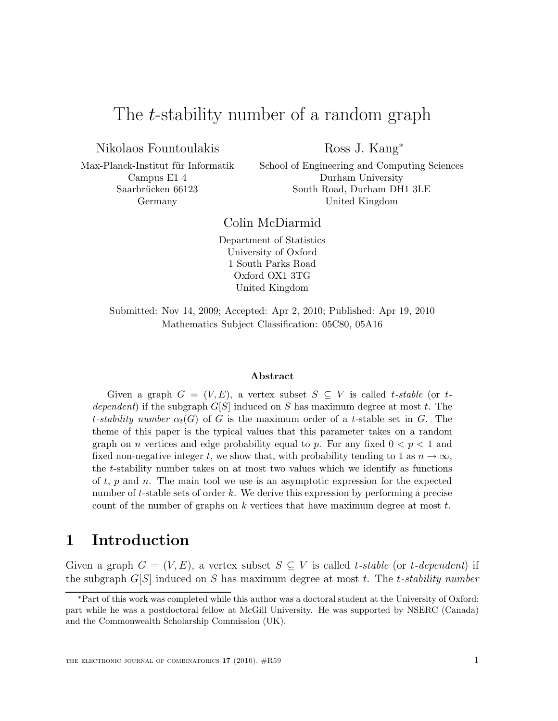# The *t*-stability number of a random graph

Nikolaos Fountoulakis

Ross J. Kang<sup>∗</sup>

Max-Planck-Institut für Informatik Campus E1 4 Saarbrücken 66123 Germany

School of Engineering and Computing Sciences Durham University South Road, Durham DH1 3LE United Kingdom

Colin McDiarmid

Department of Statistics University of Oxford 1 South Parks Road Oxford OX1 3TG United Kingdom

Submitted: Nov 14, 2009; Accepted: Apr 2, 2010; Published: Apr 19, 2010 Mathematics Subject Classification: 05C80, 05A16

#### Abstract

Given a graph  $G = (V, E)$ , a vertex subset  $S \subseteq V$  is called t-stable (or tdependent) if the subgraph  $G[S]$  induced on S has maximum degree at most t. The t-stability number  $\alpha_t(G)$  of G is the maximum order of a t-stable set in G. The theme of this paper is the typical values that this parameter takes on a random graph on *n* vertices and edge probability equal to *p*. For any fixed  $0 < p < 1$  and fixed non-negative integer t, we show that, with probability tending to 1 as  $n \to \infty$ , the t-stability number takes on at most two values which we identify as functions of  $t, p$  and  $n$ . The main tool we use is an asymptotic expression for the expected number of t-stable sets of order k. We derive this expression by performing a precise count of the number of graphs on  $k$  vertices that have maximum degree at most  $t$ .

## 1 Introduction

Given a graph  $G = (V, E)$ , a vertex subset  $S \subseteq V$  is called t-stable (or t-dependent) if the subgraph  $G[S]$  induced on S has maximum degree at most t. The t-stability number

<sup>∗</sup>Part of this work was completed while this author was a doctoral student at the University of Oxford; part while he was a postdoctoral fellow at McGill University. He was supported by NSERC (Canada) and the Commonwealth Scholarship Commission (UK).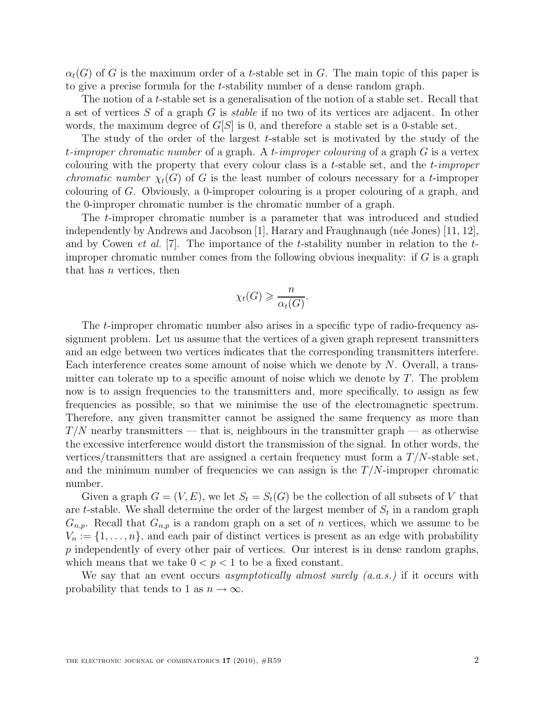$\alpha_t(G)$  of G is the maximum order of a t-stable set in G. The main topic of this paper is to give a precise formula for the t-stability number of a dense random graph.

The notion of a t-stable set is a generalisation of the notion of a stable set. Recall that a set of vertices S of a graph G is stable if no two of its vertices are adjacent. In other words, the maximum degree of  $G[S]$  is 0, and therefore a stable set is a 0-stable set.

The study of the order of the largest t-stable set is motivated by the study of the t-improper chromatic number of a graph. A t-improper colouring of a graph  $G$  is a vertex colouring with the property that every colour class is a t-stable set, and the t-improper *chromatic number*  $\chi_t(G)$  of G is the least number of colours necessary for a t-improper colouring of G. Obviously, a 0-improper colouring is a proper colouring of a graph, and the 0-improper chromatic number is the chromatic number of a graph.

The t-improper chromatic number is a parameter that was introduced and studied independently by Andrews and Jacobson [1], Harary and Fraughnaugh (née Jones)  $[11, 12]$ , and by Cowen *et al.* [7]. The importance of the *t*-stability number in relation to the  $t$ improper chromatic number comes from the following obvious inequality: if  $G$  is a graph that has  $n$  vertices, then

$$
\chi_t(G) \geqslant \frac{n}{\alpha_t(G)}.
$$

The t-improper chromatic number also arises in a specific type of radio-frequency assignment problem. Let us assume that the vertices of a given graph represent transmitters and an edge between two vertices indicates that the corresponding transmitters interfere. Each interference creates some amount of noise which we denote by  $N$ . Overall, a transmitter can tolerate up to a specific amount of noise which we denote by  $T$ . The problem now is to assign frequencies to the transmitters and, more specifically, to assign as few frequencies as possible, so that we minimise the use of the electromagnetic spectrum. Therefore, any given transmitter cannot be assigned the same frequency as more than  $T/N$  nearby transmitters — that is, neighbours in the transmitter graph — as otherwise the excessive interference would distort the transmission of the signal. In other words, the vertices/transmitters that are assigned a certain frequency must form a  $T/N$ -stable set, and the minimum number of frequencies we can assign is the  $T/N$ -improper chromatic number.

Given a graph  $G = (V, E)$ , we let  $S_t = S_t(G)$  be the collection of all subsets of V that are t-stable. We shall determine the order of the largest member of  $S_t$  in a random graph  $G_{n,p}$ . Recall that  $G_{n,p}$  is a random graph on a set of n vertices, which we assume to be  $V_n := \{1, \ldots, n\}$ , and each pair of distinct vertices is present as an edge with probability p independently of every other pair of vertices. Our interest is in dense random graphs, which means that we take  $0 < p < 1$  to be a fixed constant.

We say that an event occurs asymptotically almost surely  $(a.a.s.)$  if it occurs with probability that tends to 1 as  $n \to \infty$ .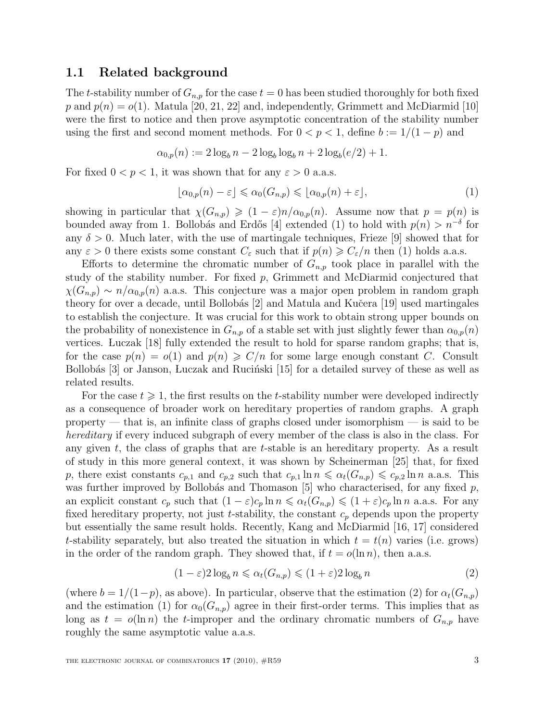### 1.1 Related background

The t-stability number of  $G_{n,p}$  for the case  $t = 0$  has been studied thoroughly for both fixed p and  $p(n) = o(1)$ . Matula [20, 21, 22] and, independently, Grimmett and McDiarmid [10] were the first to notice and then prove asymptotic concentration of the stability number using the first and second moment methods. For  $0 < p < 1$ , define  $b := 1/(1-p)$  and

$$
\alpha_{0,p}(n) := 2 \log_b n - 2 \log_b \log_b n + 2 \log_b (e/2) + 1.
$$

For fixed  $0 < p < 1$ , it was shown that for any  $\varepsilon > 0$  a.a.s.

$$
\lfloor \alpha_{0,p}(n) - \varepsilon \rfloor \leq \alpha_0(G_{n,p}) \leq \lfloor \alpha_{0,p}(n) + \varepsilon \rfloor,
$$
\n(1)

showing in particular that  $\chi(G_{n,p}) \geq (1 - \varepsilon)n/\alpha_{0,p}(n)$ . Assume now that  $p = p(n)$  is bounded away from 1. Bollobás and Erdős [4] extended (1) to hold with  $p(n) > n^{-\delta}$  for any  $\delta > 0$ . Much later, with the use of martingale techniques, Frieze [9] showed that for any  $\varepsilon > 0$  there exists some constant  $C_{\varepsilon}$  such that if  $p(n) \geqslant C_{\varepsilon}/n$  then (1) holds a.a.s.

Efforts to determine the chromatic number of  $G_{n,p}$  took place in parallel with the study of the stability number. For fixed  $p$ , Grimmett and McDiarmid conjectured that  $\chi(G_{n,p}) \sim n/\alpha_{0,p}(n)$  a.a.s. This conjecture was a major open problem in random graph theory for over a decade, until Bollobás  $[2]$  and Matula and Kučera  $[19]$  used martingales to establish the conjecture. It was crucial for this work to obtain strong upper bounds on the probability of nonexistence in  $G_{n,p}$  of a stable set with just slightly fewer than  $\alpha_{0,p}(n)$ vertices. Luczak [18] fully extended the result to hold for sparse random graphs; that is, for the case  $p(n) = o(1)$  and  $p(n) \geqslant C/n$  for some large enough constant C. Consult Bollobás  $[3]$  or Janson, Luczak and Ruciński  $[15]$  for a detailed survey of these as well as related results.

For the case  $t \geq 1$ , the first results on the t-stability number were developed indirectly as a consequence of broader work on hereditary properties of random graphs. A graph property — that is, an infinite class of graphs closed under isomorphism — is said to be hereditary if every induced subgraph of every member of the class is also in the class. For any given  $t$ , the class of graphs that are  $t$ -stable is an hereditary property. As a result of study in this more general context, it was shown by Scheinerman [25] that, for fixed p, there exist constants  $c_{p,1}$  and  $c_{p,2}$  such that  $c_{p,1} \ln n \le \alpha_t(G_{n,p}) \le c_{p,2} \ln n$  a.a.s. This was further improved by Bollobás and Thomason  $[5]$  who characterised, for any fixed p, an explicit constant  $c_p$  such that  $(1 - \varepsilon)c_p \ln n \leq \alpha_t(G_{n,p}) \leq (1 + \varepsilon)c_p \ln n$  a.a.s. For any fixed hereditary property, not just t-stability, the constant  $c_p$  depends upon the property but essentially the same result holds. Recently, Kang and McDiarmid [16, 17] considered t-stability separately, but also treated the situation in which  $t = t(n)$  varies (i.e. grows) in the order of the random graph. They showed that, if  $t = o(\ln n)$ , then a.a.s.

$$
(1 - \varepsilon)2 \log_b n \leq \alpha_t(G_{n,p}) \leq (1 + \varepsilon)2 \log_b n \tag{2}
$$

(where  $b = 1/(1-p)$ , as above). In particular, observe that the estimation (2) for  $\alpha_t(G_{n,p})$ and the estimation (1) for  $\alpha_0(G_{n,p})$  agree in their first-order terms. This implies that as long as  $t = o(\ln n)$  the *t*-improper and the ordinary chromatic numbers of  $G_{n,p}$  have roughly the same asymptotic value a.a.s.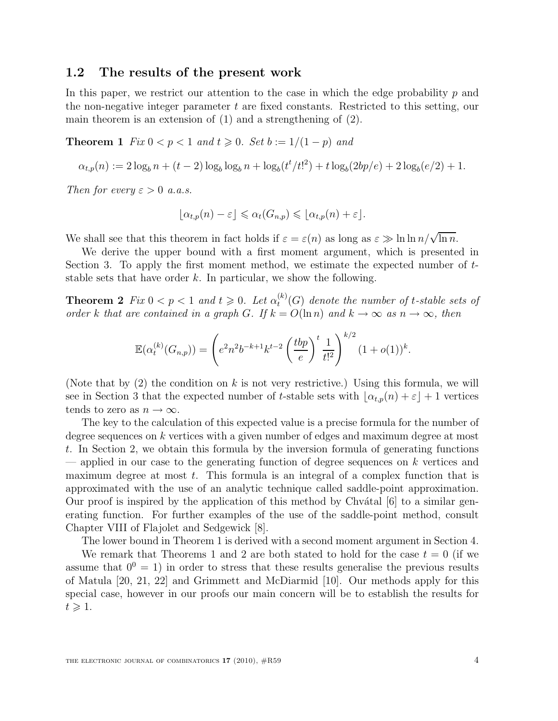### 1.2 The results of the present work

In this paper, we restrict our attention to the case in which the edge probability  $p$  and the non-negative integer parameter  $t$  are fixed constants. Restricted to this setting, our main theorem is an extension of (1) and a strengthening of (2).

**Theorem 1** Fix  $0 < p < 1$  and  $t \ge 0$ . Set  $b := 1/(1-p)$  and

$$
\alpha_{t,p}(n) := 2 \log_b n + (t-2) \log_b \log_b n + \log_b(t^t/t!)^2 + t \log_b(2bp/e) + 2 \log_b(e/2) + 1.
$$

Then for every  $\varepsilon > 0$  a.a.s.

$$
\lfloor \alpha_{t,p}(n)-\varepsilon\rfloor \leqslant \alpha_t(G_{n,p}) \leqslant \lfloor \alpha_{t,p}(n)+\varepsilon\rfloor.
$$

We shall see that this theorem in fact holds if  $\varepsilon = \varepsilon(n)$  as long as  $\varepsilon \gg \ln \ln n / \sqrt{\ln n}$ .

We derive the upper bound with a first moment argument, which is presented in Section 3. To apply the first moment method, we estimate the expected number of tstable sets that have order  $k$ . In particular, we show the following.

**Theorem 2**  $Fix\ 0 < p < 1$  and  $t \ge 0$ . Let  $\alpha_t^{(k)}$  $t_t^{(\kappa)}(G)$  denote the number of t-stable sets of order k that are contained in a graph G. If  $k = O(\ln n)$  and  $k \to \infty$  as  $n \to \infty$ , then

$$
\mathbb{E}(\alpha_t^{(k)}(G_{n,p})) = \left(e^2 n^2 b^{-k+1} k^{t-2} \left(\frac{tbp}{e}\right)^t \frac{1}{t!^2}\right)^{k/2} (1+o(1))^k.
$$

(Note that by  $(2)$  the condition on k is not very restrictive.) Using this formula, we will see in Section 3 that the expected number of t-stable sets with  $\alpha_{t,p}(n) + \varepsilon + 1$  vertices tends to zero as  $n \to \infty$ .

The key to the calculation of this expected value is a precise formula for the number of degree sequences on k vertices with a given number of edges and maximum degree at most t. In Section 2, we obtain this formula by the inversion formula of generating functions — applied in our case to the generating function of degree sequences on  $k$  vertices and maximum degree at most  $t$ . This formula is an integral of a complex function that is approximated with the use of an analytic technique called saddle-point approximation. Our proof is inspired by the application of this method by Chv $\alpha$ tal [6] to a similar generating function. For further examples of the use of the saddle-point method, consult Chapter VIII of Flajolet and Sedgewick [8].

The lower bound in Theorem 1 is derived with a second moment argument in Section 4.

We remark that Theorems 1 and 2 are both stated to hold for the case  $t = 0$  (if we assume that  $0^0 = 1$ ) in order to stress that these results generalise the previous results of Matula [20, 21, 22] and Grimmett and McDiarmid [10]. Our methods apply for this special case, however in our proofs our main concern will be to establish the results for  $t \geqslant 1$ .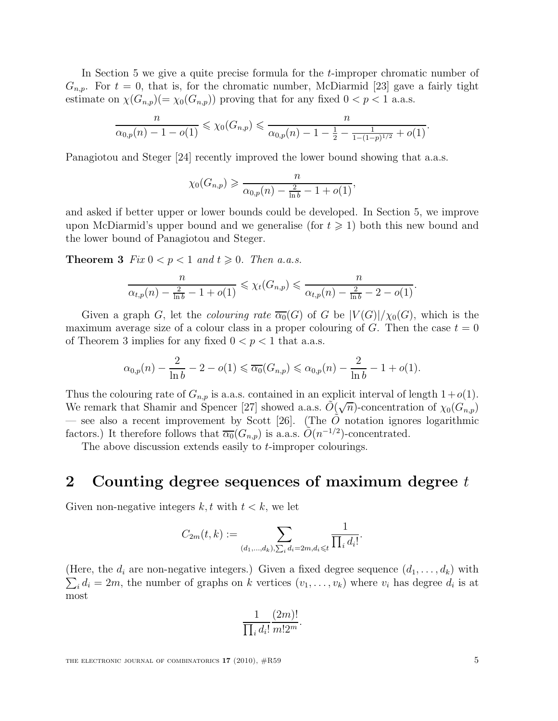In Section 5 we give a quite precise formula for the t-improper chromatic number of  $G_{n,p}$ . For  $t = 0$ , that is, for the chromatic number, McDiarmid [23] gave a fairly tight estimate on  $\chi(G_{n,p})(=\chi_0(G_{n,p}))$  proving that for any fixed  $0 < p < 1$  a.a.s.

$$
\frac{n}{\alpha_{0,p}(n)-1-o(1)} \leq \chi_0(G_{n,p}) \leq \frac{n}{\alpha_{0,p}(n)-1-\frac{1}{2}-\frac{1}{1-(1-p)^{1/2}}+o(1)}.
$$

Panagiotou and Steger [24] recently improved the lower bound showing that a.a.s.

$$
\chi_0(G_{n,p}) \ge \frac{n}{\alpha_{0,p}(n) - \frac{2}{\ln b} - 1 + o(1)},
$$

and asked if better upper or lower bounds could be developed. In Section 5, we improve upon McDiarmid's upper bound and we generalise (for  $t \geq 1$ ) both this new bound and the lower bound of Panagiotou and Steger.

**Theorem 3** Fix  $0 < p < 1$  and  $t \ge 0$ . Then a.a.s.

$$
\frac{n}{\alpha_{t,p}(n) - \frac{2}{\ln b} - 1 + o(1)} \le \chi_t(G_{n,p}) \le \frac{n}{\alpha_{t,p}(n) - \frac{2}{\ln b} - 2 - o(1)}.
$$

Given a graph G, let the colouring rate  $\overline{\alpha_0}(G)$  of G be  $|V(G)|/\chi_0(G)$ , which is the maximum average size of a colour class in a proper colouring of G. Then the case  $t = 0$ of Theorem 3 implies for any fixed  $0 < p < 1$  that a.a.s.

$$
\alpha_{0,p}(n) - \frac{2}{\ln b} - 2 - o(1) \leq \overline{\alpha_0}(G_{n,p}) \leq \alpha_{0,p}(n) - \frac{2}{\ln b} - 1 + o(1).
$$

Thus the colouring rate of  $G_{n,p}$  is a.a.s. contained in an explicit interval of length  $1+o(1)$ . We remark that Shamir and Spencer [27] showed a.a.s.  $\tilde{O}(\sqrt{n})$ -concentration of  $\chi_0(G_{n,p})$ — see also a recent improvement by Scott [26]. (The O notation ignores logarithmic factors.) It therefore follows that  $\overline{\alpha_0}(G_{n,p})$  is a.a.s.  $\tilde{O}(n^{-1/2})$ -concentrated.

The above discussion extends easily to *t*-improper colourings.

## 2 Counting degree sequences of maximum degree t

Given non-negative integers  $k, t$  with  $t < k$ , we let

$$
C_{2m}(t,k) := \sum_{(d_1,\ldots,d_k),\sum_i d_i = 2m, d_i \leq t} \frac{1}{\prod_i d_i!}.
$$

(Here, the  $d_i$  are non-negative integers.) Given a fixed degree sequence  $(d_1, \ldots, d_k)$  with  $\sum_i d_i = 2m$ , the number of graphs on k vertices  $(v_1, \ldots, v_k)$  where  $v_i$  has degree  $d_i$  is at most

$$
\frac{1}{\prod_i d_i!} \frac{(2m)!}{m!2^m}.
$$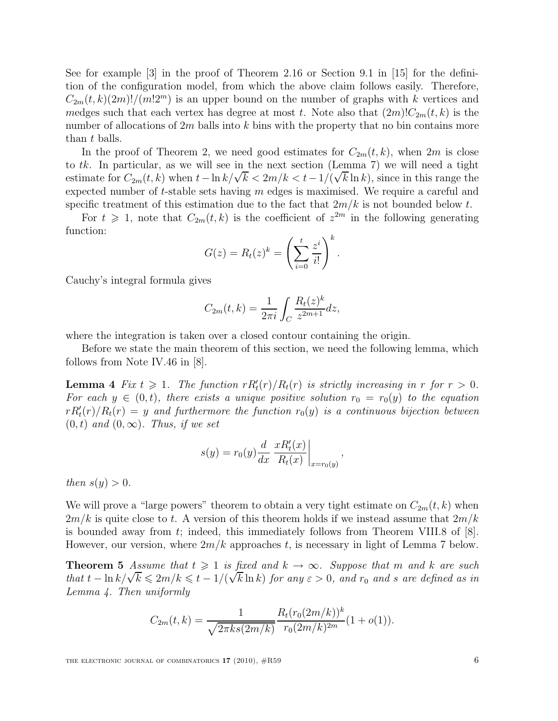See for example [3] in the proof of Theorem 2.16 or Section 9.1 in [15] for the definition of the configuration model, from which the above claim follows easily. Therefore,  $C_{2m}(t, k)(2m)!/(m!2^m)$  is an upper bound on the number of graphs with k vertices and medges such that each vertex has degree at most t. Note also that  $(2m)!C_{2m}(t, k)$  is the number of allocations of  $2m$  balls into k bins with the property that no bin contains more than t balls.

In the proof of Theorem 2, we need good estimates for  $C_{2m}(t, k)$ , when  $2m$  is close to  $tk$ . In particular, as we will see in the next section (Lemma 7) we will need a tight estimate for  $C_{2m}(t, k)$  when  $t-\ln k/\sqrt{k} < 2m/k < t-1/(\sqrt{k}\ln k)$ , since in this range the expected number of  $t$ -stable sets having  $m$  edges is maximised. We require a careful and specific treatment of this estimation due to the fact that  $2m/k$  is not bounded below t.

For  $t \geq 1$ , note that  $C_{2m}(t, k)$  is the coefficient of  $z^{2m}$  in the following generating function:

$$
G(z) = R_t(z)^k = \left(\sum_{i=0}^t \frac{z^i}{i!}\right)^k
$$

.

Cauchy's integral formula gives

$$
C_{2m}(t,k) = \frac{1}{2\pi i} \int_C \frac{R_t(z)^k}{z^{2m+1}} dz,
$$

where the integration is taken over a closed contour containing the origin.

Before we state the main theorem of this section, we need the following lemma, which follows from Note IV.46 in [8].

**Lemma 4** Fix  $t \ge 1$ . The function  $rR'_t(r)/R_t(r)$  is strictly increasing in r for  $r > 0$ . For each  $y \in (0, t)$ , there exists a unique positive solution  $r_0 = r_0(y)$  to the equation  $rR'_t(r)/R_t(r) = y$  and furthermore the function  $r_0(y)$  is a continuous bijection between  $(0, t)$  and  $(0, \infty)$ . Thus, if we set

$$
s(y) = r_0(y) \frac{d}{dx} \left. \frac{xR'_t(x)}{R_t(x)} \right|_{x = r_0(y)},
$$

then  $s(y) > 0$ .

We will prove a "large powers" theorem to obtain a very tight estimate on  $C_{2m}(t, k)$  when  $2m/k$  is quite close to t. A version of this theorem holds if we instead assume that  $2m/k$ is bounded away from t; indeed, this immediately follows from Theorem VIII.8 of [8]. However, our version, where  $2m/k$  approaches t, is necessary in light of Lemma 7 below.

**Theorem 5** Assume that  $t \geq 1$  is fixed and  $k \to \infty$ . Suppose that m and k are such that  $t - \ln k/\sqrt{k} \leq 2m/k \leq t - 1/(\sqrt{k} \ln k)$  for any  $\varepsilon > 0$ , and  $r_0$  and s are defined as in Lemma 4. Then uniformly

$$
C_{2m}(t,k) = \frac{1}{\sqrt{2\pi ks(2m/k)}} \frac{R_t(r_0(2m/k))^k}{r_0(2m/k)^{2m}} (1 + o(1)).
$$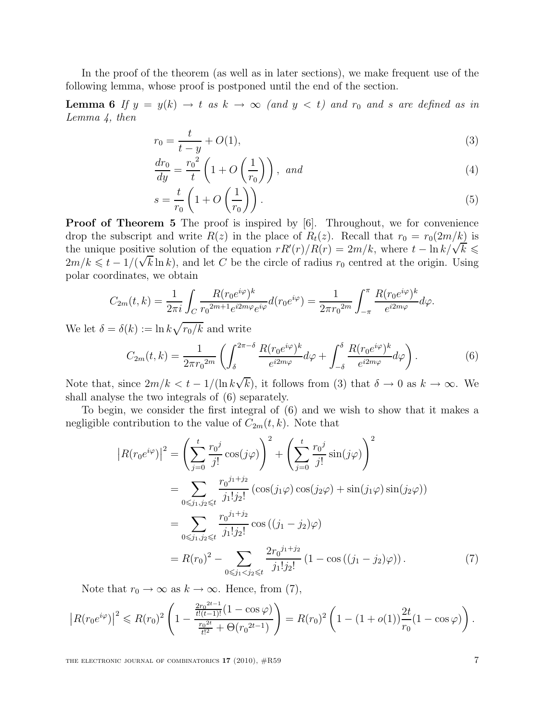In the proof of the theorem (as well as in later sections), we make frequent use of the following lemma, whose proof is postponed until the end of the section.

**Lemma 6** If  $y = y(k) \rightarrow t$  as  $k \rightarrow \infty$  (and  $y < t$ ) and  $r_0$  and s are defined as in Lemma 4, then

$$
r_0 = \frac{t}{t - y} + O(1),
$$
\n(3)

$$
\frac{dr_0}{dy} = \frac{r_0^2}{t} \left( 1 + O\left(\frac{1}{r_0}\right) \right), \quad and \tag{4}
$$

$$
s = \frac{t}{r_0} \left( 1 + O\left(\frac{1}{r_0}\right) \right). \tag{5}
$$

Proof of Theorem 5 The proof is inspired by [6]. Throughout, we for convenience drop the subscript and write  $R(z)$  in the place of  $R_t(z)$ . Recall that  $r_0 = r_0(2m/k)$  is the unique positive solution of the equation  $rR'(r)/R(r) = 2m/k$ , where  $t - \ln k/\sqrt{k} \le$  $2m/k \leq t - 1/(\sqrt{k} \ln k)$ , and let C be the circle of radius  $r_0$  centred at the origin. Using polar coordinates, we obtain

$$
C_{2m}(t,k) = \frac{1}{2\pi i} \int_C \frac{R(r_0 e^{i\varphi})^k}{r_0^{2m+1} e^{i2m\varphi} e^{i\varphi}} d(r_0 e^{i\varphi}) = \frac{1}{2\pi r_0^{2m}} \int_{-\pi}^{\pi} \frac{R(r_0 e^{i\varphi})^k}{e^{i2m\varphi}} d\varphi.
$$

We let  $\delta = \delta(k) := \ln k \sqrt{r_0/k}$  and write

$$
C_{2m}(t,k) = \frac{1}{2\pi r_0^{2m}} \left( \int_{\delta}^{2\pi-\delta} \frac{R(r_0 e^{i\varphi})^k}{e^{i2m\varphi}} d\varphi + \int_{-\delta}^{\delta} \frac{R(r_0 e^{i\varphi})^k}{e^{i2m\varphi}} d\varphi \right). \tag{6}
$$

Note that, since  $2m/k < t - 1/(\ln k\sqrt{k})$ , it follows from (3) that  $\delta \to 0$  as  $k \to \infty$ . We shall analyse the two integrals of (6) separately.

To begin, we consider the first integral of (6) and we wish to show that it makes a negligible contribution to the value of  $C_{2m}(t, k)$ . Note that

$$
\left| R(r_0 e^{i\varphi}) \right|^2 = \left( \sum_{j=0}^t \frac{r_0^j}{j!} \cos(j\varphi) \right)^2 + \left( \sum_{j=0}^t \frac{r_0^j}{j!} \sin(j\varphi) \right)^2
$$
  
\n
$$
= \sum_{0 \le j_1, j_2 \le t} \frac{r_0^{j_1+j_2}}{j_1!j_2!} \left( \cos(j_1\varphi) \cos(j_2\varphi) + \sin(j_1\varphi) \sin(j_2\varphi) \right)
$$
  
\n
$$
= \sum_{0 \le j_1, j_2 \le t} \frac{r_0^{j_1+j_2}}{j_1!j_2!} \cos\left((j_1 - j_2)\varphi\right)
$$
  
\n
$$
= R(r_0)^2 - \sum_{0 \le j_1 < j_2 \le t} \frac{2r_0^{j_1+j_2}}{j_1!j_2!} \left(1 - \cos\left((j_1 - j_2)\varphi\right)\right).
$$
 (7)

Note that  $r_0 \to \infty$  as  $k \to \infty$ . Hence, from (7),

$$
\left| R(r_0 e^{i \varphi}) \right|^2 \leqslant R(r_0)^2 \left( 1 - \frac{ \frac{2 r_0^{2t-1}}{t!(t-1)!} (1 - \cos \varphi) }{ \frac{r_0^{2t}}{t!^2} + \Theta(r_0^{2t-1}) } \right) = R(r_0)^2 \left( 1 - (1+o(1)) \frac{2t}{r_0} (1 - \cos \varphi) \right).
$$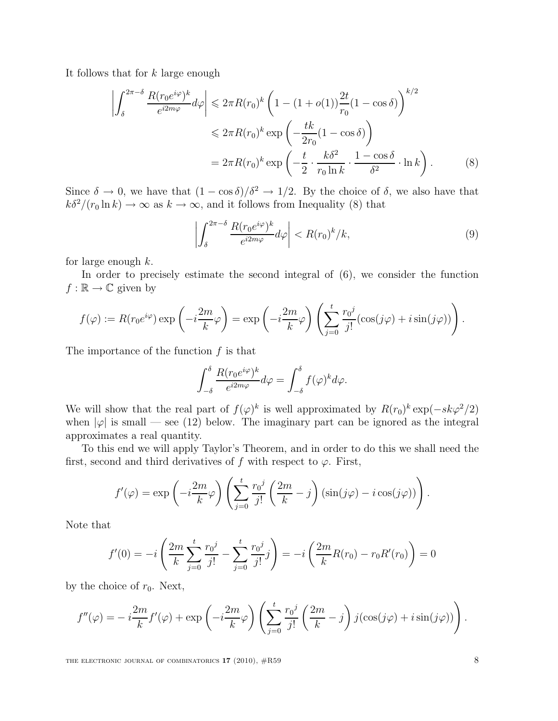It follows that for k large enough

$$
\left| \int_{\delta}^{2\pi - \delta} \frac{R(r_0 e^{i\varphi})^k}{e^{i2m\varphi}} d\varphi \right| \leq 2\pi R(r_0)^k \left( 1 - (1 + o(1)) \frac{2t}{r_0} (1 - \cos \delta) \right)^{k/2}
$$
  

$$
\leq 2\pi R(r_0)^k \exp\left( -\frac{tk}{2r_0} (1 - \cos \delta) \right)
$$
  

$$
= 2\pi R(r_0)^k \exp\left( -\frac{t}{2} \cdot \frac{k\delta^2}{r_0 \ln k} \cdot \frac{1 - \cos \delta}{\delta^2} \cdot \ln k \right).
$$
 (8)

Since  $\delta \to 0$ , we have that  $(1 - \cos \delta)/\delta^2 \to 1/2$ . By the choice of  $\delta$ , we also have that  $k\delta^2/(r_0 \ln k) \to \infty$  as  $k \to \infty$ , and it follows from Inequality (8) that

$$
\left| \int_{\delta}^{2\pi - \delta} \frac{R(r_0 e^{i\varphi})^k}{e^{i2m\varphi}} d\varphi \right| < R(r_0)^k / k,\tag{9}
$$

for large enough  $k$ .

In order to precisely estimate the second integral of (6), we consider the function  $f : \mathbb{R} \to \mathbb{C}$  given by

$$
f(\varphi) := R(r_0 e^{i\varphi}) \exp\left(-i\frac{2m}{k}\varphi\right) = \exp\left(-i\frac{2m}{k}\varphi\right) \left(\sum_{j=0}^t \frac{r_0^j}{j!} (\cos(j\varphi) + i\sin(j\varphi))\right).
$$

The importance of the function  $f$  is that

$$
\int_{-\delta}^{\delta} \frac{R(r_0 e^{i\varphi})^k}{e^{i2m\varphi}} d\varphi = \int_{-\delta}^{\delta} f(\varphi)^k d\varphi.
$$

We will show that the real part of  $f(\varphi)^k$  is well approximated by  $R(r_0)^k \exp(-sk\varphi^2/2)$ when  $|\varphi|$  is small — see (12) below. The imaginary part can be ignored as the integral approximates a real quantity.

To this end we will apply Taylor's Theorem, and in order to do this we shall need the first, second and third derivatives of f with respect to  $\varphi$ . First,

$$
f'(\varphi) = \exp\left(-i\frac{2m}{k}\varphi\right) \left(\sum_{j=0}^{t} \frac{r_0^j}{j!} \left(\frac{2m}{k} - j\right) (\sin(j\varphi) - i\cos(j\varphi))\right).
$$

Note that

$$
f'(0) = -i\left(\frac{2m}{k}\sum_{j=0}^{t}\frac{r_0^j}{j!} - \sum_{j=0}^{t}\frac{r_0^j}{j!}j\right) = -i\left(\frac{2m}{k}R(r_0) - r_0R'(r_0)\right) = 0
$$

by the choice of  $r_0$ . Next,

$$
f''(\varphi) = -i\frac{2m}{k}f'(\varphi) + \exp\left(-i\frac{2m}{k}\varphi\right)\left(\sum_{j=0}^t \frac{r_0^j}{j!}\left(\frac{2m}{k} - j\right)j(\cos(j\varphi) + i\sin(j\varphi))\right).
$$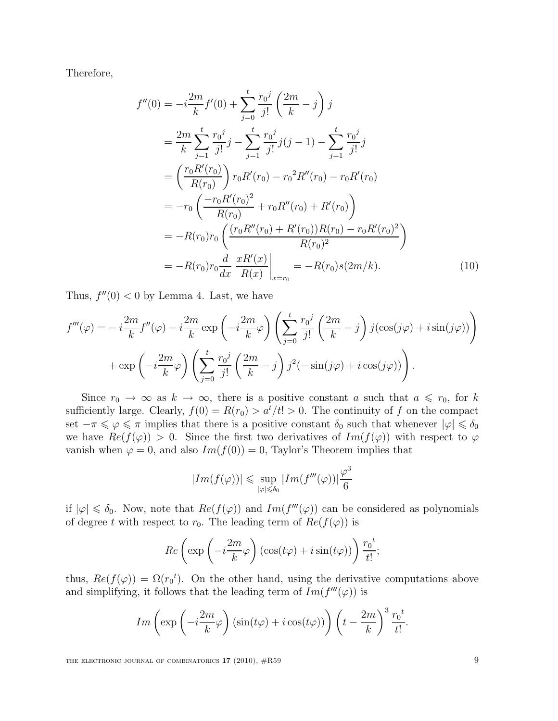Therefore,

$$
f''(0) = -i\frac{2m}{k}f'(0) + \sum_{j=0}^{t} \frac{r_0^j}{j!} \left(\frac{2m}{k} - j\right) j
$$
  
\n
$$
= \frac{2m}{k} \sum_{j=1}^{t} \frac{r_0^j}{j!} j - \sum_{j=1}^{t} \frac{r_0^j}{j!} j(j-1) - \sum_{j=1}^{t} \frac{r_0^j}{j!} j
$$
  
\n
$$
= \left(\frac{r_0 R'(r_0)}{R(r_0)}\right) r_0 R'(r_0) - r_0^2 R''(r_0) - r_0 R'(r_0)
$$
  
\n
$$
= -r_0 \left(\frac{-r_0 R'(r_0)^2}{R(r_0)} + r_0 R''(r_0) + R'(r_0)\right)
$$
  
\n
$$
= -R(r_0)r_0 \left(\frac{(r_0 R''(r_0) + R'(r_0))R(r_0) - r_0 R'(r_0)^2}{R(r_0)^2}\right)
$$
  
\n
$$
= -R(r_0)r_0 \frac{d}{dx} \frac{x R'(x)}{R(x)}\Big|_{x=r_0} = -R(r_0)s(2m/k).
$$
 (10)

Thus,  $f''(0) < 0$  by Lemma 4. Last, we have

$$
f'''(\varphi) = -i\frac{2m}{k}f''(\varphi) - i\frac{2m}{k}\exp\left(-i\frac{2m}{k}\varphi\right)\left(\sum_{j=0}^t \frac{r_0^j}{j!}\left(\frac{2m}{k} - j\right)j(\cos(j\varphi) + i\sin(j\varphi))\right) + \exp\left(-i\frac{2m}{k}\varphi\right)\left(\sum_{j=0}^t \frac{r_0^j}{j!}\left(\frac{2m}{k} - j\right)j^2(-\sin(j\varphi) + i\cos(j\varphi))\right).
$$

Since  $r_0 \to \infty$  as  $k \to \infty$ , there is a positive constant a such that  $a \leq r_0$ , for k sufficiently large. Clearly,  $f(0) = R(r_0) > a^t/t! > 0$ . The continuity of f on the compact set  $-\pi \leq \varphi \leq \pi$  implies that there is a positive constant  $\delta_0$  such that whenever  $|\varphi| \leq \delta_0$ we have  $Re(f(\varphi)) > 0$ . Since the first two derivatives of  $Im(f(\varphi))$  with respect to  $\varphi$ vanish when  $\varphi = 0$ , and also  $Im(f(0)) = 0$ , Taylor's Theorem implies that

$$
|Im(f(\varphi))| \leq \sup_{|\varphi| \leq \delta_0} |Im(f'''(\varphi))| \frac{\varphi^3}{6}
$$

if  $|\varphi| \leq \delta_0$ . Now, note that  $Re(f(\varphi))$  and  $Im(f'''(\varphi))$  can be considered as polynomials of degree t with respect to  $r_0$ . The leading term of  $Re(f(\varphi))$  is

$$
Re\left(\exp\left(-i\frac{2m}{k}\varphi\right)\left(\cos(t\varphi)+i\sin(t\varphi)\right)\right)\frac{r_0^t}{t!};
$$

thus,  $Re(f(\varphi)) = \Omega(r_0^t)$ . On the other hand, using the derivative computations above and simplifying, it follows that the leading term of  $Im(f'''(\varphi))$  is

$$
Im\left(\exp\left(-i\frac{2m}{k}\varphi\right)\left(\sin(t\varphi)+i\cos(t\varphi)\right)\right)\left(t-\frac{2m}{k}\right)^3\frac{r_0^t}{t!}.
$$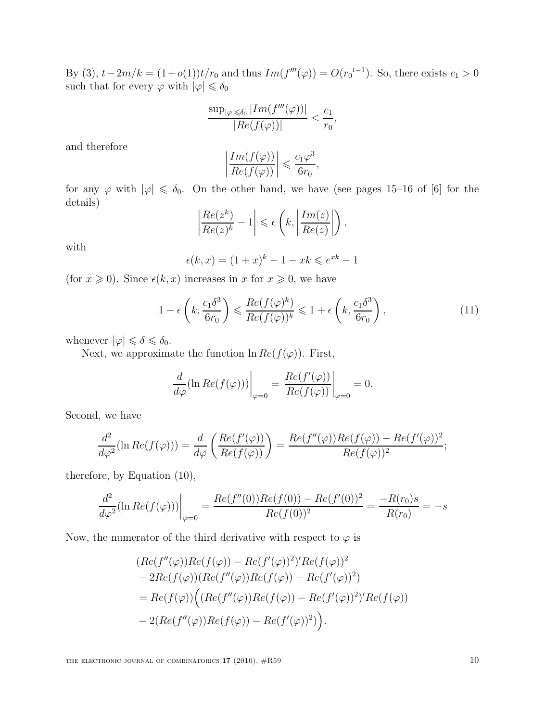By (3),  $t - 2m/k = (1 + o(1))t/r_0$  and thus  $Im(f'''(\varphi)) = O(r_0^{t-1})$ . So, there exists  $c_1 > 0$ such that for every  $\varphi$  with  $|\varphi| \leq \delta_0$ 

$$
\frac{\sup_{|\varphi| \le \delta_0} |Im(f'''(\varphi))|}{|Re(f(\varphi))|} < \frac{c_1}{r_0},
$$

and therefore

$$
\left|\frac{Im(f(\varphi))}{Re(f(\varphi))}\right| \leqslant \frac{c_1\varphi^3}{6r_0},
$$

for any  $\varphi$  with  $|\varphi| \leq \delta_0$ . On the other hand, we have (see pages 15–16 of [6] for the details)

$$
\left|\frac{Re(z^k)}{Re(z)^k} - 1\right| \leq \epsilon \left(k, \left|\frac{Im(z)}{Re(z)}\right|\right),\,
$$

with

$$
\epsilon(k, x) = (1 + x)^k - 1 - xk \le e^{xk} - 1
$$

(for  $x \ge 0$ ). Since  $\epsilon(k, x)$  increases in x for  $x \ge 0$ , we have

$$
1 - \epsilon \left( k, \frac{c_1 \delta^3}{6r_0} \right) \leqslant \frac{Re(f(\varphi))^k}{Re(f(\varphi))^k} \leqslant 1 + \epsilon \left( k, \frac{c_1 \delta^3}{6r_0} \right), \tag{11}
$$

whenever  $|\varphi| \leq \delta \leq \delta_0$ .

Next, we approximate the function  $\ln Re(f(\varphi))$ . First,

$$
\frac{d}{d\varphi}(\ln Re(f(\varphi)))\bigg|_{\varphi=0} = \frac{Re(f'(\varphi))}{Re(f(\varphi))}\bigg|_{\varphi=0} = 0.
$$

Second, we have

$$
\frac{d^2}{d\varphi^2}(\ln Re(f(\varphi))) = \frac{d}{d\varphi} \left( \frac{Re(f'(\varphi))}{Re(f(\varphi))} \right) = \frac{Re(f''(\varphi))Re(f(\varphi)) - Re(f'(\varphi))^2}{Re(f(\varphi))^2};
$$

therefore, by Equation (10),

$$
\frac{d^2}{d\varphi^2}(\ln Re(f(\varphi)))\Big|_{\varphi=0} = \frac{Re(f''(0))Re(f(0)) - Re(f'(0))^2}{Re(f(0))^2} = \frac{-R(r_0)s}{R(r_0)} = -s
$$

Now, the numerator of the third derivative with respect to  $\varphi$  is

$$
(Re(f''(\varphi))Re(f(\varphi)) - Re(f'(\varphi))^2)Re(f(\varphi))^2
$$
  
\n
$$
- 2Re(f(\varphi))(Re(f''(\varphi))Re(f(\varphi)) - Re(f'(\varphi))^2)
$$
  
\n
$$
= Re(f(\varphi))((Re(f''(\varphi))Re(f(\varphi)) - Re(f'(\varphi))^2)Re(f(\varphi))
$$
  
\n
$$
- 2(Re(f''(\varphi))Re(f(\varphi)) - Re(f'(\varphi))^2)).
$$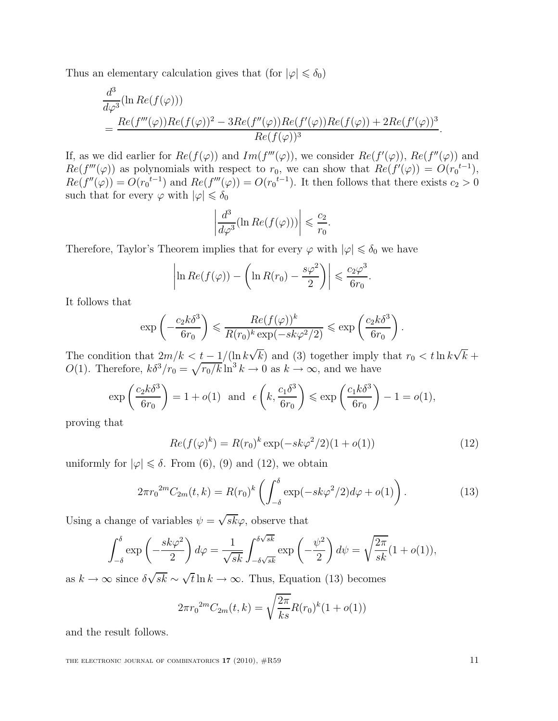Thus an elementary calculation gives that (for  $|\varphi| \leq \delta_0$ )

$$
\frac{d^3}{d\varphi^3}(\ln Re(f(\varphi)))
$$
  
= 
$$
\frac{Re(f'''(\varphi))Re(f(\varphi))^2 - 3Re(f''(\varphi))Re(f'(\varphi))Re(f(\varphi)) + 2Re(f'(\varphi))^3}{Re(f(\varphi))^3}.
$$

If, as we did earlier for  $Re(f(\varphi))$  and  $Im(f'''(\varphi))$ , we consider  $Re(f'(\varphi))$ ,  $Re(f''(\varphi))$  and  $Re(f'''(\varphi))$  as polynomials with respect to  $r_0$ , we can show that  $Re(f'(\varphi)) = O(r_0^{t-1}),$  $Re(f''(\varphi)) = O(r_0^{t-1})$  and  $Re(f'''(\varphi)) = O(r_0^{t-1})$ . It then follows that there exists  $c_2 > 0$ such that for every  $\varphi$  with  $|\varphi| \leq \delta_0$ 

$$
\left| \frac{d^3}{d\varphi^3} (\ln Re(f(\varphi))) \right| \leqslant \frac{c_2}{r_0}
$$

Therefore, Taylor's Theorem implies that for every  $\varphi$  with  $|\varphi| \leq \delta_0$  we have

$$
\left|\ln Re(f(\varphi)) - \left(\ln R(r_0) - \frac{s\varphi^2}{2}\right)\right| \leqslant \frac{c_2\varphi^3}{6r_0}.
$$

It follows that

$$
\exp\left(-\frac{c_2k\delta^3}{6r_0}\right) \leqslant \frac{Re(f(\varphi))^k}{R(r_0)^k \exp(-sk\varphi^2/2)} \leqslant \exp\left(\frac{c_2k\delta^3}{6r_0}\right).
$$

The condition that  $2m/k < t - 1/(\ln k\sqrt{k})$  and (3) together imply that  $r_0 < t \ln k\sqrt{k}$  +  $O(1)$ . Therefore,  $k\delta^3/r_0 = \sqrt{r_0/k} \ln^3 k \to 0$  as  $k \to \infty$ , and we have

$$
\exp\left(\frac{c_2k\delta^3}{6r_0}\right) = 1 + o(1) \text{ and } \epsilon\left(k, \frac{c_1\delta^3}{6r_0}\right) \le \exp\left(\frac{c_1k\delta^3}{6r_0}\right) - 1 = o(1),
$$

proving that

$$
Re(f(\varphi)^k) = R(r_0)^k \exp(-sk\varphi^2/2)(1+o(1))
$$
\n(12)

.

uniformly for  $|\varphi| \le \delta$ . From (6), (9) and (12), we obtain

$$
2\pi r_0^{2m} C_{2m}(t,k) = R(r_0)^k \left( \int_{-\delta}^{\delta} \exp(-sk\varphi^2/2) d\varphi + o(1) \right). \tag{13}
$$

Using a change of variables  $\psi = \sqrt{sk}\varphi$ , observe that

$$
\int_{-\delta}^{\delta} \exp\left(-\frac{sk\varphi^2}{2}\right) d\varphi = \frac{1}{\sqrt{sk}} \int_{-\delta\sqrt{sk}}^{\delta\sqrt{sk}} \exp\left(-\frac{\psi^2}{2}\right) d\psi = \sqrt{\frac{2\pi}{sk}} (1 + o(1)),
$$

as  $k \to \infty$  since  $\delta \sqrt{sk} \sim \sqrt{t} \ln k \to \infty$ . Thus, Equation (13) becomes

$$
2\pi {r_0}^{2m}C_{2m}(t,k) = \sqrt{\frac{2\pi}{ks}}R(r_0)^k(1+o(1))
$$

and the result follows.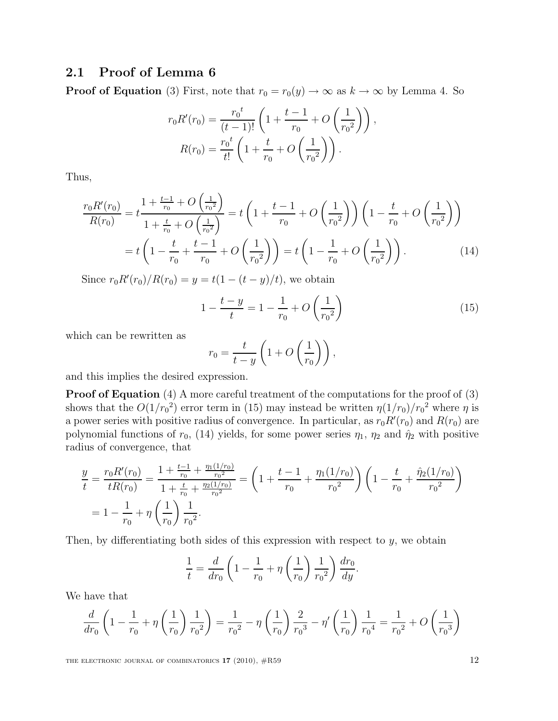## 2.1 Proof of Lemma 6

**Proof of Equation** (3) First, note that  $r_0 = r_0(y) \rightarrow \infty$  as  $k \rightarrow \infty$  by Lemma 4. So

$$
r_0 R'(r_0) = \frac{r_0^t}{(t-1)!} \left( 1 + \frac{t-1}{r_0} + O\left(\frac{1}{r_0^2}\right) \right),
$$
  

$$
R(r_0) = \frac{r_0^t}{t!} \left( 1 + \frac{t}{r_0} + O\left(\frac{1}{r_0^2}\right) \right).
$$

Thus,

$$
\frac{r_0 R'(r_0)}{R(r_0)} = t \frac{1 + \frac{t-1}{r_0} + O\left(\frac{1}{r_0^2}\right)}{1 + \frac{t}{r_0} + O\left(\frac{1}{r_0^2}\right)} = t \left(1 + \frac{t-1}{r_0} + O\left(\frac{1}{r_0^2}\right)\right) \left(1 - \frac{t}{r_0} + O\left(\frac{1}{r_0^2}\right)\right)
$$

$$
= t \left(1 - \frac{t}{r_0} + \frac{t-1}{r_0} + O\left(\frac{1}{r_0^2}\right)\right) = t \left(1 - \frac{1}{r_0} + O\left(\frac{1}{r_0^2}\right)\right). \tag{14}
$$

Since  $r_0 R'(r_0)/R(r_0) = y = t(1 - (t - y)/t)$ , we obtain

$$
1 - \frac{t - y}{t} = 1 - \frac{1}{r_0} + O\left(\frac{1}{r_0^2}\right)
$$
 (15)

which can be rewritten as

$$
r_0 = \frac{t}{t-y} \left( 1 + O\left(\frac{1}{r_0}\right) \right),\,
$$

and this implies the desired expression.

Proof of Equation (4) A more careful treatment of the computations for the proof of (3) shows that the  $O(1/r_0^2)$  error term in (15) may instead be written  $\eta(1/r_0)/r_0^2$  where  $\eta$  is a power series with positive radius of convergence. In particular, as  $r_0R'(r_0)$  and  $R(r_0)$  are polynomial functions of  $r_0$ , (14) yields, for some power series  $\eta_1$ ,  $\eta_2$  and  $\hat{\eta}_2$  with positive radius of convergence, that

$$
\frac{y}{t} = \frac{r_0 R'(r_0)}{t R(r_0)} = \frac{1 + \frac{t - 1}{r_0} + \frac{\eta_1(1/r_0)}{r_0^2}}{1 + \frac{t}{r_0} + \frac{\eta_2(1/r_0)}{r_0^2}} = \left(1 + \frac{t - 1}{r_0} + \frac{\eta_1(1/r_0)}{r_0^2}\right) \left(1 - \frac{t}{r_0} + \frac{\hat{\eta}_2(1/r_0)}{r_0^2}\right)
$$

$$
= 1 - \frac{1}{r_0} + \eta \left(\frac{1}{r_0}\right) \frac{1}{r_0^2}.
$$

Then, by differentiating both sides of this expression with respect to  $y$ , we obtain

$$
\frac{1}{t} = \frac{d}{dr_0} \left( 1 - \frac{1}{r_0} + \eta \left( \frac{1}{r_0} \right) \frac{1}{r_0^2} \right) \frac{dr_0}{dy}.
$$

We have that

$$
\frac{d}{dr_0} \left( 1 - \frac{1}{r_0} + \eta \left( \frac{1}{r_0} \right) \frac{1}{r_0^2} \right) = \frac{1}{r_0^2} - \eta \left( \frac{1}{r_0} \right) \frac{2}{r_0^3} - \eta' \left( \frac{1}{r_0} \right) \frac{1}{r_0^4} = \frac{1}{r_0^2} + O\left( \frac{1}{r_0^3} \right)
$$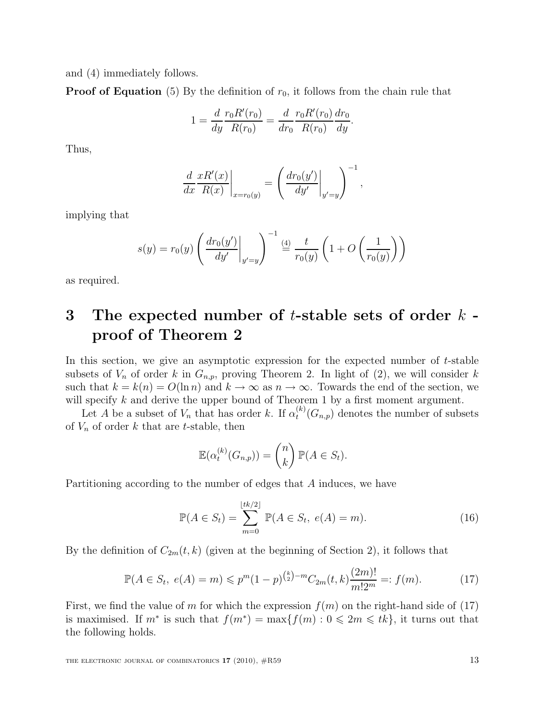and (4) immediately follows.

**Proof of Equation** (5) By the definition of  $r_0$ , it follows from the chain rule that

$$
1 = \frac{d}{dy} \frac{r_0 R'(r_0)}{R(r_0)} = \frac{d}{dr_0} \frac{r_0 R'(r_0)}{R(r_0)} \frac{dr_0}{dy}.
$$

Thus,

$$
\left. \frac{d}{dx} \frac{xR'(x)}{R(x)} \right|_{x=r_0(y)} = \left( \frac{dr_0(y')}{dy'} \bigg|_{y'=y} \right)^{-1},
$$

implying that

$$
s(y) = r_0(y) \left( \frac{dr_0(y')}{dy'} \bigg|_{y'=y} \right)^{-1} \stackrel{(4)}{=} \frac{t}{r_0(y)} \left( 1 + O\left(\frac{1}{r_0(y)}\right) \right)
$$

as required.

# 3 The expected number of  $t$ -stable sets of order  $k$ proof of Theorem 2

In this section, we give an asymptotic expression for the expected number of  $t$ -stable subsets of  $V_n$  of order k in  $G_{n,p}$ , proving Theorem 2. In light of (2), we will consider k such that  $k = k(n) = O(\ln n)$  and  $k \to \infty$  as  $n \to \infty$ . Towards the end of the section, we will specify  $k$  and derive the upper bound of Theorem 1 by a first moment argument.

Let A be a subset of  $V_n$  that has order k. If  $\alpha_t^{(k)}$  $t^{(k)}(G_{n,p})$  denotes the number of subsets of  $V_n$  of order k that are t-stable, then

$$
\mathbb{E}(\alpha_t^{(k)}(G_{n,p})) = \binom{n}{k} \mathbb{P}(A \in S_t).
$$

Partitioning according to the number of edges that A induces, we have

$$
\mathbb{P}(A \in S_t) = \sum_{m=0}^{\lfloor tk/2 \rfloor} \mathbb{P}(A \in S_t, \ e(A) = m).
$$
 (16)

By the definition of  $C_{2m}(t, k)$  (given at the beginning of Section 2), it follows that

$$
\mathbb{P}(A \in S_t, e(A) = m) \leqslant p^m (1 - p)^{\binom{k}{2} - m} C_{2m}(t, k) \frac{(2m)!}{m! 2^m} =: f(m). \tag{17}
$$

First, we find the value of m for which the expression  $f(m)$  on the right-hand side of (17) is maximised. If  $m^*$  is such that  $f(m^*) = \max\{f(m) : 0 \leq 2m \leq tk\}$ , it turns out that the following holds.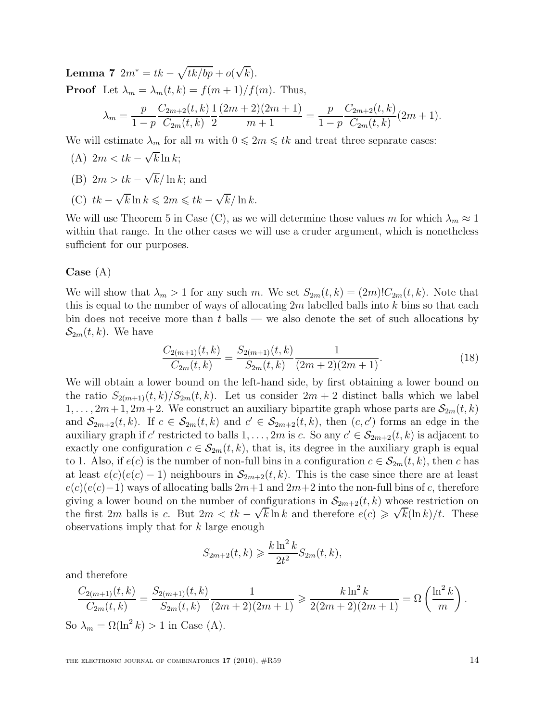Lemma 7  $2m^* = tk - \sqrt{\frac{tk}{bp}} + o(\sqrt{k}).$ **Proof** Let  $\lambda_m = \lambda_m(t, k) = f(m+1)/f(m)$ . Thus,  $\lambda_m =$ p  $1-p$  $C_{2m+2}(t, k)$  $C_{2m}(t, k)$ 1 2  $(2m+2)(2m+1)$  $m+1$ = p  $1-p$  $C_{2m+2}(t, k)$  $C_{2m}(t, k)$  $(2m + 1).$ 

We will estimate  $\lambda_m$  for all m with  $0 \leq 2m \leq tk$  and treat three separate cases:

- (A)  $2m < tk \sqrt{k} \ln k;$
- (B)  $2m > tk \sqrt{k}/\ln k$ ; and
- (C)  $tk \sqrt{k} \ln k \leq 2m \leq tk \sqrt{k} / \ln k$ .

We will use Theorem 5 in Case (C), as we will determine those values m for which  $\lambda_m \approx 1$ within that range. In the other cases we will use a cruder argument, which is nonetheless sufficient for our purposes.

### Case (A)

We will show that  $\lambda_m > 1$  for any such m. We set  $S_{2m}(t, k) = (2m)! C_{2m}(t, k)$ . Note that this is equal to the number of ways of allocating  $2m$  labelled balls into k bins so that each bin does not receive more than  $t$  balls — we also denote the set of such allocations by  $\mathcal{S}_{2m}(t,k)$ . We have

$$
\frac{C_{2(m+1)}(t,k)}{C_{2m}(t,k)} = \frac{S_{2(m+1)}(t,k)}{S_{2m}(t,k)} \frac{1}{(2m+2)(2m+1)}.\tag{18}
$$

We will obtain a lower bound on the left-hand side, by first obtaining a lower bound on the ratio  $S_{2(m+1)}(t, k)/S_{2m}(t, k)$ . Let us consider  $2m + 2$  distinct balls which we label  $1, \ldots, 2m+1, 2m+2$ . We construct an auxiliary bipartite graph whose parts are  $\mathcal{S}_{2m}(t, k)$ and  $S_{2m+2}(t, k)$ . If  $c \in S_{2m}(t, k)$  and  $c' \in S_{2m+2}(t, k)$ , then  $(c, c')$  forms an edge in the auxiliary graph if c' restricted to balls  $1, \ldots, 2m$  is c. So any  $c' \in \mathcal{S}_{2m+2}(t, k)$  is adjacent to exactly one configuration  $c \in \mathcal{S}_{2m}(t, k)$ , that is, its degree in the auxiliary graph is equal to 1. Also, if  $e(c)$  is the number of non-full bins in a configuration  $c \in \mathcal{S}_{2m}(t, k)$ , then c has at least  $e(c)(e(c) - 1)$  neighbours in  $\mathcal{S}_{2m+2}(t, k)$ . This is the case since there are at least  $e(c)(e(c)-1)$  ways of allocating balls  $2m+1$  and  $2m+2$  into the non-full bins of c, therefore giving a lower bound on the number of configurations in  $\mathcal{S}_{2m+2}(t, k)$  whose restriction on the first 2m balls is c. But  $2m < tk - \sqrt{k} \ln k$  and therefore  $e(c) \ge \sqrt{k} (\ln k)/t$ . These observations imply that for k large enough

$$
S_{2m+2}(t,k) \geq \frac{k \ln^2 k}{2t^2} S_{2m}(t,k),
$$

and therefore

$$
\frac{C_{2(m+1)}(t,k)}{C_{2m}(t,k)} = \frac{S_{2(m+1)}(t,k)}{S_{2m}(t,k)} \frac{1}{(2m+2)(2m+1)} \ge \frac{k \ln^2 k}{2(2m+2)(2m+1)} = \Omega\left(\frac{\ln^2 k}{m}\right).
$$
  
So  $\lambda_m = \Omega(\ln^2 k) > 1$  in Case (A).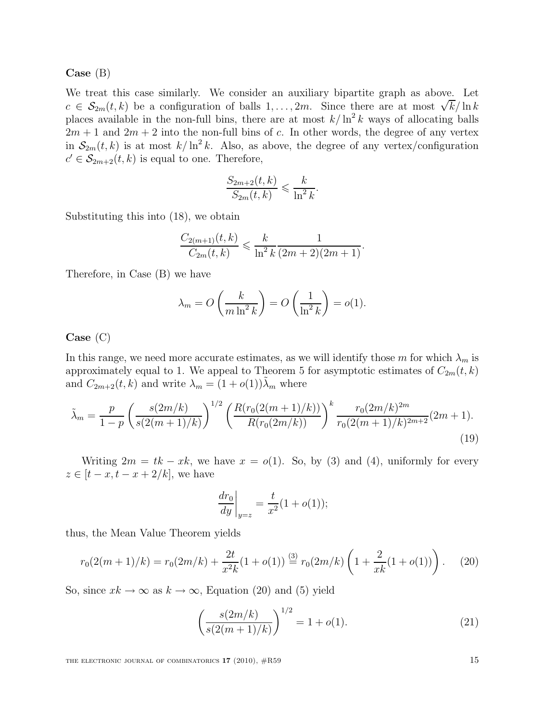Case (B)

We treat this case similarly. We consider an auxiliary bipartite graph as above. Let c  $\in \mathcal{S}_{2m}(t,k)$  be a configuration of balls 1, ..., 2m. Since there are at most  $\sqrt{k}/\ln k$ places available in the non-full bins, there are at most  $k/\ln^2 k$  ways of allocating balls  $2m + 1$  and  $2m + 2$  into the non-full bins of c. In other words, the degree of any vertex in  $S_{2m}(t, k)$  is at most  $k/\ln^2 k$ . Also, as above, the degree of any vertex/configuration  $c' \in \mathcal{S}_{2m+2}(t, k)$  is equal to one. Therefore,

$$
\frac{S_{2m+2}(t,k)}{S_{2m}(t,k)} \leqslant \frac{k}{\ln^2 k}.
$$

Substituting this into (18), we obtain

$$
\frac{C_{2(m+1)}(t,k)}{C_{2m}(t,k)} \leqslant \frac{k}{\ln^2 k} \frac{1}{(2m+2)(2m+1)}.
$$

Therefore, in Case (B) we have

$$
\lambda_m = O\left(\frac{k}{m \ln^2 k}\right) = O\left(\frac{1}{\ln^2 k}\right) = o(1).
$$

### Case (C)

In this range, we need more accurate estimates, as we will identify those m for which  $\lambda_m$  is approximately equal to 1. We appeal to Theorem 5 for asymptotic estimates of  $C_{2m}(t, k)$ and  $C_{2m+2}(t, k)$  and write  $\lambda_m = (1 + o(1))\tilde{\lambda}_m$  where

$$
\tilde{\lambda}_m = \frac{p}{1-p} \left( \frac{s(2m/k)}{s(2(m+1)/k)} \right)^{1/2} \left( \frac{R(r_0(2(m+1)/k))}{R(r_0(2m/k))} \right)^k \frac{r_0(2m/k)^{2m}}{r_0(2(m+1)/k)^{2m+2}} (2m+1).
$$
\n(19)

Writing  $2m = tk - xk$ , we have  $x = o(1)$ . So, by (3) and (4), uniformly for every  $z \in [t-x, t-x+2/k]$ , we have

$$
\frac{dr_0}{dy}\bigg|_{y=z} = \frac{t}{x^2}(1+o(1));
$$

thus, the Mean Value Theorem yields

$$
r_0(2(m+1)/k) = r_0(2m/k) + \frac{2t}{x^2k}(1+o(1)) \stackrel{(3)}{=} r_0(2m/k)\left(1+\frac{2}{xk}(1+o(1))\right). \tag{20}
$$

So, since  $xk \to \infty$  as  $k \to \infty$ , Equation (20) and (5) yield

$$
\left(\frac{s(2m/k)}{s(2(m+1)/k)}\right)^{1/2} = 1 + o(1). \tag{21}
$$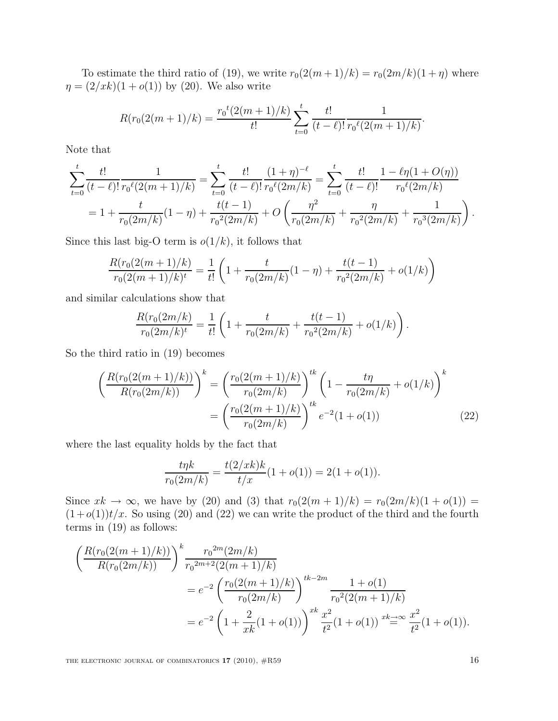To estimate the third ratio of (19), we write  $r_0(2(m+1)/k) = r_0(2m/k)(1 + \eta)$  where  $\eta = (2/ x k)(1 + o(1))$  by (20). We also write

$$
R(r_0(2(m+1)/k) = \frac{r_0^t(2(m+1)/k)}{t!} \sum_{t=0}^t \frac{t!}{(t-\ell)!} \frac{1}{r_0^{\ell}(2(m+1)/k)}
$$

.

Note that

$$
\sum_{t=0}^{t} \frac{t!}{(t-\ell)!} \frac{1}{r_0 \ell(2(m+1)/k)} = \sum_{t=0}^{t} \frac{t!}{(t-\ell)!} \frac{(1+\eta)^{-\ell}}{r_0 \ell(2m/k)} = \sum_{t=0}^{t} \frac{t!}{(t-\ell)!} \frac{1 - \ell \eta (1+O(\eta))}{r_0 \ell(2m/k)}
$$

$$
= 1 + \frac{t}{r_0(2m/k)} (1-\eta) + \frac{t(t-1)}{r_0^2(2m/k)} + O\left(\frac{\eta^2}{r_0(2m/k)} + \frac{\eta}{r_0^2(2m/k)} + \frac{1}{r_0^3(2m/k)}\right).
$$

Since this last big-O term is  $o(1/k)$ , it follows that

$$
\frac{R(r_0(2(m+1)/k)}{r_0(2(m+1)/k)^t} = \frac{1}{t!} \left( 1 + \frac{t}{r_0(2m/k)} (1-\eta) + \frac{t(t-1)}{r_0^2(2m/k)} + o(1/k) \right)
$$

and similar calculations show that

$$
\frac{R(r_0(2m/k)}{r_0(2m/k)^t} = \frac{1}{t!} \left( 1 + \frac{t}{r_0(2m/k)} + \frac{t(t-1)}{r_0^2(2m/k)} + o(1/k) \right).
$$

So the third ratio in (19) becomes

$$
\left(\frac{R(r_0(2(m+1)/k))}{R(r_0(2m/k))}\right)^k = \left(\frac{r_0(2(m+1)/k)}{r_0(2m/k)}\right)^{tk} \left(1 - \frac{t\eta}{r_0(2m/k)} + o(1/k)\right)^k
$$

$$
= \left(\frac{r_0(2(m+1)/k)}{r_0(2m/k)}\right)^{tk} e^{-2}(1+o(1)) \tag{22}
$$

where the last equality holds by the fact that

$$
\frac{t\eta k}{r_0(2m/k)} = \frac{t(2/xk)k}{t/x}(1+o(1)) = 2(1+o(1)).
$$

Since  $xk \to \infty$ , we have by (20) and (3) that  $r_0(2(m + 1)/k) = r_0(2m/k)(1 + o(1)) =$  $(1+o(1))t/x$ . So using (20) and (22) we can write the product of the third and the fourth terms in (19) as follows:

$$
\left(\frac{R(r_0(2(m+1)/k))}{R(r_0(2m/k))}\right)^k \frac{r_0^{2m}(2m/k)}{r_0^{2m+2}(2(m+1)/k)} \n= e^{-2} \left(\frac{r_0(2(m+1)/k)}{r_0(2m/k)}\right)^{tk-2m} \frac{1+o(1)}{r_0^2(2(m+1)/k)} \n= e^{-2} \left(1 + \frac{2}{xk}(1+o(1))\right)^{xk} \frac{x^2}{t^2}(1+o(1)) \xrightarrow{xk \to \infty} \frac{x^2}{t^2}(1+o(1)).
$$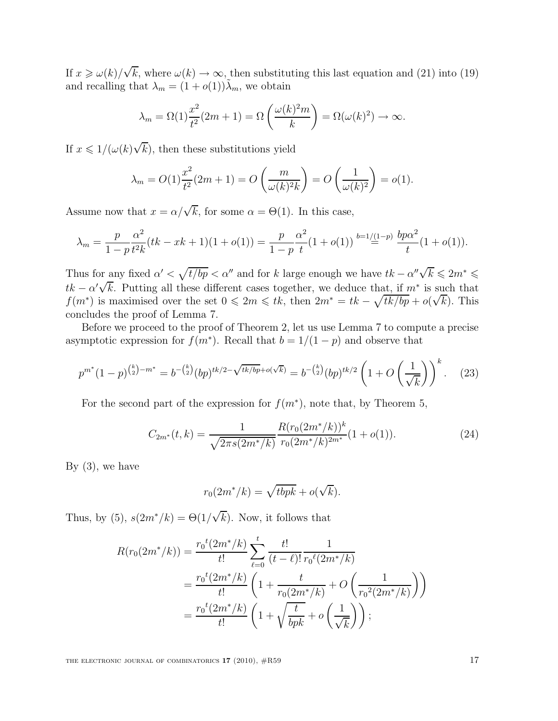If  $x \geq \omega(k)/\sqrt{k}$ , where  $\omega(k) \to \infty$ , then substituting this last equation and (21) into (19) and recalling that  $\lambda_m = (1 + o(1))\tilde{\lambda}_m$ , we obtain

$$
\lambda_m = \Omega(1) \frac{x^2}{t^2} (2m+1) = \Omega\left(\frac{\omega(k)^2 m}{k}\right) = \Omega(\omega(k)^2) \to \infty.
$$

If  $x \leq 1/(\omega(k)\sqrt{k})$ , then these substitutions yield

$$
\lambda_m = O(1) \frac{x^2}{t^2} (2m + 1) = O\left(\frac{m}{\omega(k)^2 k}\right) = O\left(\frac{1}{\omega(k)^2}\right) = o(1).
$$

Assume now that  $x = \alpha/\sqrt{k}$ , for some  $\alpha = \Theta(1)$ . In this case,

$$
\lambda_m = \frac{p}{1-p} \frac{\alpha^2}{t^2 k} (tk - xk + 1)(1 + o(1)) = \frac{p}{1-p} \frac{\alpha^2}{t} (1 + o(1)) \stackrel{b=1/(1-p)}{=} \frac{bp\alpha^2}{t} (1 + o(1)).
$$

Thus for any fixed  $\alpha' < \sqrt{t/bp} < \alpha''$  and for k large enough we have  $tk - \alpha''\sqrt{k} \leq 2m^* \leq$  $tk - \alpha' \sqrt{k}$ . Putting all these different cases together, we deduce that, if  $m^*$  is such that  $f(m^*)$  is maximised over the set  $0 \leq 2m \leq tk$ , then  $2m^* = tk - \sqrt{tk/bp} + o(\sqrt{k})$ . This concludes the proof of Lemma 7.

Before we proceed to the proof of Theorem 2, let us use Lemma 7 to compute a precise asymptotic expression for  $f(m^*)$ . Recall that  $b = 1/(1-p)$  and observe that

$$
p^{m^*}(1-p)^{\binom{k}{2}-m^*} = b^{-\binom{k}{2}}(bp)^{tk/2-\sqrt{tk/bp}+o(\sqrt{k})} = b^{-\binom{k}{2}}(bp)^{tk/2}\left(1+O\left(\frac{1}{\sqrt{k}}\right)\right)^k. \tag{23}
$$

For the second part of the expression for  $f(m^*)$ , note that, by Theorem 5,

$$
C_{2m^*}(t,k) = \frac{1}{\sqrt{2\pi s(2m^*/k)}} \frac{R(r_0(2m^*/k))^k}{r_0(2m^*/k)^{2m^*}} (1+o(1)).
$$
\n(24)

By  $(3)$ , we have

$$
r_0(2m^*/k) = \sqrt{tbpk} + o(\sqrt{k}).
$$

Thus, by (5),  $s(2m^*/k) = \Theta(1/\sqrt{k})$ . Now, it follows that

$$
R(r_0(2m^*/k)) = \frac{r_0^t(2m^*/k)}{t!} \sum_{\ell=0}^t \frac{t!}{(t-\ell)!} \frac{1}{r_0^{\ell}(2m^*/k)}
$$
  
= 
$$
\frac{r_0^t(2m^*/k)}{t!} \left(1 + \frac{t}{r_0(2m^*/k)} + O\left(\frac{1}{r_0^2(2m^*/k)}\right)\right)
$$
  
= 
$$
\frac{r_0^t(2m^*/k)}{t!} \left(1 + \sqrt{\frac{t}{bpk}} + o\left(\frac{1}{\sqrt{k}}\right)\right);
$$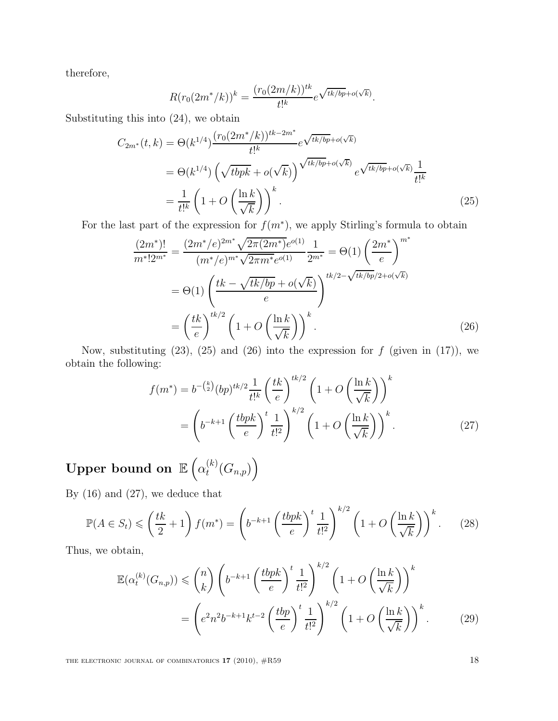therefore,

$$
R(r_0(2m^*/k))^k = \frac{(r_0(2m/k))^{tk}}{t!^k} e^{\sqrt{tk/bp} + o(\sqrt{k})}.
$$

Substituting this into (24), we obtain

$$
C_{2m^*}(t,k) = \Theta(k^{1/4}) \frac{(r_0(2m^*/k))^{tk-2m^*}}{t!^k} e^{\sqrt{tk/bp} + o(\sqrt{k})}
$$
  
=  $\Theta(k^{1/4}) \left(\sqrt{tbpk} + o(\sqrt{k})\right)^{\sqrt{tk/bp} + o(\sqrt{k})} e^{\sqrt{tk/bp} + o(\sqrt{k})} \frac{1}{t!^k}$   
=  $\frac{1}{t!^k} \left(1 + O\left(\frac{\ln k}{\sqrt{k}}\right)\right)^k$ . (25)

For the last part of the expression for  $f(m^*)$ , we apply Stirling's formula to obtain

$$
\frac{(2m^*)!}{m^*!2^{m^*}} = \frac{(2m^*/e)^{2m^*}\sqrt{2\pi(2m^*)}e^{o(1)}}{(m^*/e)^{m^*}\sqrt{2\pi m^*}e^{o(1)}}\frac{1}{2^{m^*}} = \Theta(1)\left(\frac{2m^*}{e}\right)^{m^*}
$$

$$
= \Theta(1)\left(\frac{tk - \sqrt{tk/bp} + o(\sqrt{k})}{e}\right)^{tk/2 - \sqrt{tk/bp}/2 + o(\sqrt{k})}
$$

$$
= \left(\frac{tk}{e}\right)^{tk/2}\left(1 + O\left(\frac{\ln k}{\sqrt{k}}\right)\right)^k.
$$
(26)

Now, substituting  $(23)$ ,  $(25)$  and  $(26)$  into the expression for f (given in  $(17)$ ), we obtain the following:

$$
f(m^*) = b^{-\binom{k}{2}} (bp)^{tk/2} \frac{1}{t!^k} \left(\frac{tk}{e}\right)^{tk/2} \left(1 + O\left(\frac{\ln k}{\sqrt{k}}\right)\right)^k
$$

$$
= \left(b^{-k+1} \left(\frac{tbpk}{e}\right)^t \frac{1}{t!^2}\right)^{k/2} \left(1 + O\left(\frac{\ln k}{\sqrt{k}}\right)\right)^k.
$$
 (27)

Upper bound on  $\mathbb{E}\left(\alpha_t^{(k)}\right)$  $_{t}^{(k)}(G_{n,p})\Big)$ 

By (16) and (27), we deduce that

$$
\mathbb{P}(A \in S_t) \leqslant \left(\frac{tk}{2} + 1\right) f(m^*) = \left(b^{-k+1} \left(\frac{tbpk}{e}\right)^t \frac{1}{t!^2}\right)^{k/2} \left(1 + O\left(\frac{\ln k}{\sqrt{k}}\right)\right)^k. \tag{28}
$$

Thus, we obtain,

$$
\mathbb{E}(\alpha_t^{(k)}(G_{n,p})) \leqslant {n \choose k} \left(b^{-k+1} \left(\frac{tbpk}{e}\right)^t \frac{1}{t!^2}\right)^{k/2} \left(1 + O\left(\frac{\ln k}{\sqrt{k}}\right)\right)^k
$$

$$
= \left(e^2 n^2 b^{-k+1} k^{t-2} \left(\frac{tbp}{e}\right)^t \frac{1}{t!^2}\right)^{k/2} \left(1 + O\left(\frac{\ln k}{\sqrt{k}}\right)\right)^k. \tag{29}
$$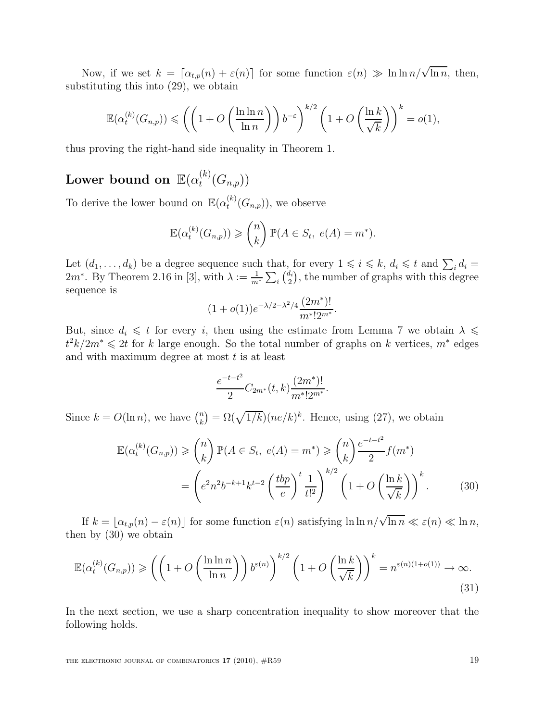Now, if we set  $k = [\alpha_{t,p}(n) + \varepsilon(n)]$  for some function  $\varepsilon(n) \gg \ln \ln n / \sqrt{\ln n}$ , then, substituting this into (29), we obtain

$$
\mathbb{E}(\alpha_t^{(k)}(G_{n,p})) \leqslant \left( \left( 1 + O\left( \frac{\ln \ln n}{\ln n} \right) \right) b^{-\varepsilon} \right)^{k/2} \left( 1 + O\left( \frac{\ln k}{\sqrt{k}} \right) \right)^k = o(1),
$$

thus proving the right-hand side inequality in Theorem 1.

#### ${\rm Lower~bound~on~}\mathbb{E}(\alpha_t^{(k)})$  $_{t}^{\left( \kappa\right) }\!\left( G_{n,p}\right) )$

To derive the lower bound on  $\mathbb{E}(\alpha_t^{(k)})$  $t^{(k)}(G_{n,p})$ , we observe

$$
\mathbb{E}(\alpha_t^{(k)}(G_{n,p})) \geq {n \choose k} \mathbb{P}(A \in S_t, e(A) = m^*).
$$

Let  $(d_1, \ldots, d_k)$  be a degree sequence such that, for every  $1 \leq i \leq k$ ,  $d_i \leq t$  and  $\sum_i d_i =$  $2m^*$ . By Theorem 2.16 in [3], with  $\lambda := \frac{1}{m^*} \sum_i \binom{d_i}{2}$  $\binom{d_i}{2}$ , the number of graphs with this degree sequence is

$$
(1+o(1))e^{-\lambda/2-\lambda^2/4}\frac{(2m^*)!}{m^*!2^{m^*}}.
$$

But, since  $d_i \leq t$  for every i, then using the estimate from Lemma 7 we obtain  $\lambda \leq$  $t^2k/2m^*$  ≤ 2t for k large enough. So the total number of graphs on k vertices,  $m^*$  edges and with maximum degree at most  $t$  is at least

$$
\frac{e^{-t-t^2}}{2}C_{2m^*}(t,k)\frac{(2m^*)!}{m^*!2^{m^*}}.
$$

Since  $k = O(\ln n)$ , we have  $\binom{n}{k}$  $\binom{n}{k} = \Omega(\sqrt{1/k})(ne/k)^k$ . Hence, using (27), we obtain

$$
\mathbb{E}(\alpha_t^{(k)}(G_{n,p})) \geq \binom{n}{k} \mathbb{P}(A \in S_t, e(A) = m^*) \geq \binom{n}{k} \frac{e^{-t-t^2}}{2} f(m^*)
$$

$$
= \left(e^2 n^2 b^{-k+1} k^{t-2} \left(\frac{tbp}{e}\right)^t \frac{1}{t!^2}\right)^{k/2} \left(1 + O\left(\frac{\ln k}{\sqrt{k}}\right)\right)^k. \tag{30}
$$

If  $k = \lfloor \alpha_{t,p}(n) - \varepsilon(n) \rfloor$  for some function  $\varepsilon(n)$  satisfying  $\ln \ln \frac{n}{\sqrt{\ln n}} \ll \varepsilon(n) \ll \ln n$ , then by (30) we obtain

$$
\mathbb{E}(\alpha_t^{(k)}(G_{n,p})) \geqslant \left( \left( 1 + O\left(\frac{\ln \ln n}{\ln n}\right) \right) b^{\varepsilon(n)} \right)^{k/2} \left( 1 + O\left(\frac{\ln k}{\sqrt{k}}\right) \right)^k = n^{\varepsilon(n)(1+o(1))} \to \infty. \tag{31}
$$

In the next section, we use a sharp concentration inequality to show moreover that the following holds.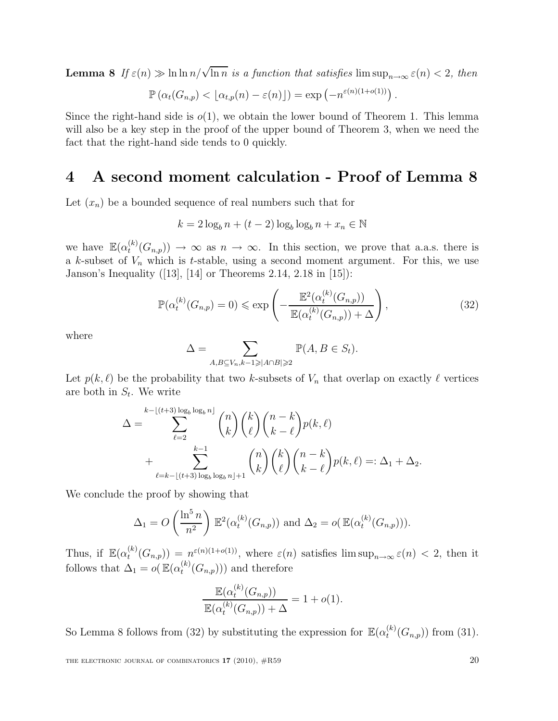**Lemma 8** If  $\varepsilon(n) \gg \ln \ln n / \sqrt{\ln n}$  is a function that satisfies  $\limsup_{n\to\infty} \varepsilon(n) < 2$ , then

$$
\mathbb{P}\left(\alpha_t(G_{n,p})<\lfloor \alpha_{t,p}(n)-\varepsilon(n)\rfloor\right)=\exp\left(-n^{\varepsilon(n)(1+o(1))}\right).
$$

Since the right-hand side is  $o(1)$ , we obtain the lower bound of Theorem 1. This lemma will also be a key step in the proof of the upper bound of Theorem 3, when we need the fact that the right-hand side tends to 0 quickly.

## 4 A second moment calculation - Proof of Lemma 8

Let  $(x_n)$  be a bounded sequence of real numbers such that for

$$
k = 2\log_b n + (t - 2)\log_b \log_b n + x_n \in \mathbb{N}
$$

we have  $\mathbb{E}(\alpha_t^{(k)})$  $t^{(k)}(G_{n,p}) \to \infty$  as  $n \to \infty$ . In this section, we prove that a.a.s. there is a k-subset of  $V_n$  which is t-stable, using a second moment argument. For this, we use Janson's Inequality ([13], [14] or Theorems 2.14, 2.18 in [15]):

$$
\mathbb{P}(\alpha_t^{(k)}(G_{n,p})=0) \leq \exp\left(-\frac{\mathbb{E}^2(\alpha_t^{(k)}(G_{n,p}))}{\mathbb{E}(\alpha_t^{(k)}(G_{n,p}))+\Delta}\right),\tag{32}
$$

where

$$
\Delta = \sum_{A,B \subseteq V_n, k-1 \geq |A \cap B| \geq 2} \mathbb{P}(A, B \in S_t).
$$

Let  $p(k, \ell)$  be the probability that two k-subsets of  $V_n$  that overlap on exactly  $\ell$  vertices are both in  $S_t$ . We write

$$
\Delta = \sum_{\ell=2}^{k-\lfloor (t+3)\log_b \log_b n \rfloor} \binom{n}{k} \binom{k}{\ell} \binom{n-k}{k-\ell} p(k,\ell)
$$
  
+ 
$$
\sum_{\ell=k-\lfloor (t+3)\log_b \log_b n \rfloor+1}^{k-1} \binom{n}{k} \binom{k}{\ell} \binom{n-k}{k-\ell} p(k,\ell) =: \Delta_1 + \Delta_2.
$$

We conclude the proof by showing that

$$
\Delta_1 = O\left(\frac{\ln^5 n}{n^2}\right) \mathbb{E}^2(\alpha_t^{(k)}(G_{n,p})) \text{ and } \Delta_2 = o(\mathbb{E}(\alpha_t^{(k)}(G_{n,p}))).
$$

Thus, if  $\mathbb{E}(\alpha_t^{(k)})$  $\mathcal{L}_t^{(k)}(G_{n,p}) = n^{\varepsilon(n)(1+o(1))}$ , where  $\varepsilon(n)$  satisfies  $\limsup_{n\to\infty} \varepsilon(n) < 2$ , then it follows that  $\Delta_1 = o(\mathbb{E}(\alpha_t^{(k)})$  $t^{(k)}(G_{n,p}))$  and therefore

$$
\frac{\mathbb{E}(\alpha_t^{(k)}(G_{n,p}))}{\mathbb{E}(\alpha_t^{(k)}(G_{n,p}))+\Delta} = 1 + o(1).
$$

So Lemma 8 follows from (32) by substituting the expression for  $\mathbb{E}(\alpha_t^{(k)})$  $t^{(k)}(G_{n,p})$  from (31).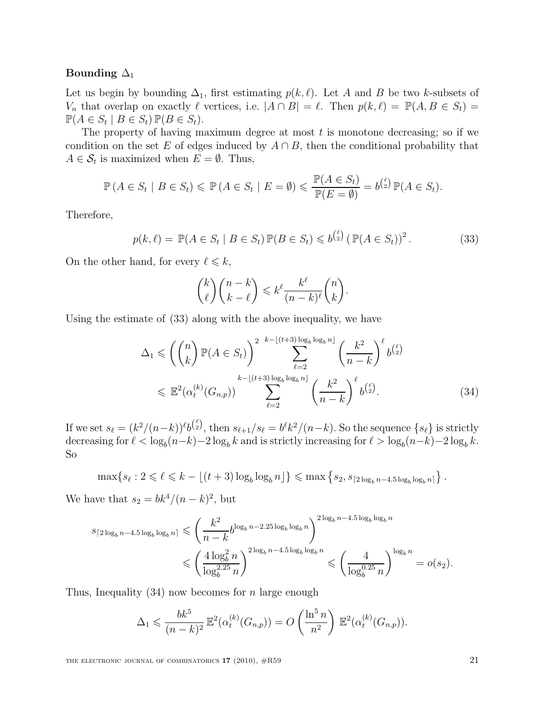#### Bounding  $\Delta_1$

Let us begin by bounding  $\Delta_1$ , first estimating  $p(k, \ell)$ . Let A and B be two k-subsets of  $V_n$  that overlap on exactly  $\ell$  vertices, i.e.  $|A \cap B| = \ell$ . Then  $p(k, \ell) = \mathbb{P}(A, B \in S_t) =$  $\mathbb{P}(A \in S_t \mid B \in S_t) \mathbb{P}(B \in S_t).$ 

The property of having maximum degree at most  $t$  is monotone decreasing; so if we condition on the set E of edges induced by  $A \cap B$ , then the conditional probability that  $A \in \mathcal{S}_t$  is maximized when  $E = \emptyset$ . Thus,

$$
\mathbb{P}(A \in S_t \mid B \in S_t) \leq \mathbb{P}(A \in S_t \mid E = \emptyset) \leq \frac{\mathbb{P}(A \in S_t)}{\mathbb{P}(E = \emptyset)} = b^{\binom{\ell}{2}} \mathbb{P}(A \in S_t).
$$

Therefore,

$$
p(k, \ell) = \mathbb{P}(A \in S_t \mid B \in S_t) \mathbb{P}(B \in S_t) \leq b^{\binom{\ell}{2}} \left( \mathbb{P}(A \in S_t) \right)^2.
$$
 (33)

On the other hand, for every  $\ell \leq k$ ,

$$
\binom{k}{\ell}\binom{n-k}{k-\ell} \leqslant k^{\ell} \frac{k^{\ell}}{(n-k)^{\ell}}\binom{n}{k}.
$$

Using the estimate of (33) along with the above inequality, we have

$$
\Delta_1 \leqslant \left( \binom{n}{k} \mathbb{P}(A \in S_t) \right)^2 \sum_{\ell=2}^{k - \lfloor (t+3) \log_b \log_b n \rfloor} \left( \frac{k^2}{n - k} \right)^{\ell} b^{\binom{\ell}{2}} \n\leqslant \mathbb{E}^2(\alpha_t^{(k)}(G_{n,p})) \sum_{\ell=2}^{k - \lfloor (t+3) \log_b \log_b n \rfloor} \left( \frac{k^2}{n - k} \right)^{\ell} b^{\binom{\ell}{2}}.
$$
\n(34)

If we set  $s_{\ell} = (k^2/(n-k))^{\ell} b^{\binom{\ell}{2}}$ , then  $s_{\ell+1}/s_{\ell} = b^{\ell} k^2/(n-k)$ . So the sequence  $\{s_{\ell}\}$  is strictly decreasing for  $\ell < \log_b(n-k)-2\log_b k$  and is strictly increasing for  $\ell > \log_b(n-k)-2\log_b k$ . So

 $\max\{s_\ell : 2 \leq \ell \leq k - \lfloor (t+3) \log_b \log_b n \rfloor\} \leq \max\left\{s_2, s_{\lceil 2 \log_b n - 4.5 \log_b \log_b n \rceil}\right\}.$ 

We have that  $s_2 = bk^4/(n-k)^2$ , but

$$
s_{\lceil 2\log_b n - 4.5\log_b \log_b n \rceil} \leqslant \left(\frac{k^2}{n-k} b^{\log_b n - 2.25 \log_b \log_b n}\right)^{2\log_b n - 4.5 \log_b \log_b n} \\
\leqslant \left(\frac{4 \log_b^2 n}{\log_b^{2.25} n}\right)^{2\log_b n - 4.5 \log_b \log_b n} \leqslant \left(\frac{4}{\log_b^{0.25} n}\right)^{\log_b n} = o(s_2).
$$

Thus, Inequality  $(34)$  now becomes for *n* large enough

$$
\Delta_1 \leq \frac{bk^5}{(n-k)^2} \mathbb{E}^2(\alpha_t^{(k)}(G_{n,p})) = O\left(\frac{\ln^5 n}{n^2}\right) \mathbb{E}^2(\alpha_t^{(k)}(G_{n,p})).
$$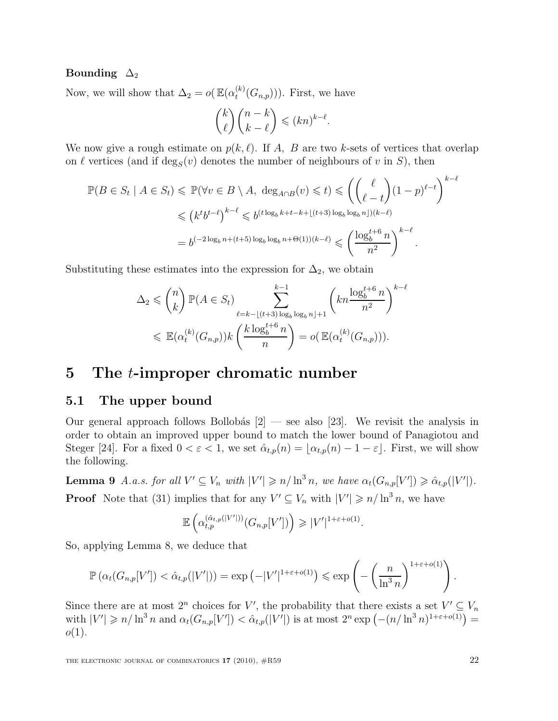### Bounding  $\Delta_2$

Now, we will show that  $\Delta_2 = o(\mathbb{E}(\alpha_t^{(k)})$  $t^{(k)}(G_{n,p}))$ . First, we have

$$
\binom{k}{\ell}\binom{n-k}{k-\ell} \leqslant (kn)^{k-\ell}.
$$

We now give a rough estimate on  $p(k, \ell)$ . If A, B are two k-sets of vertices that overlap on  $\ell$  vertices (and if  $\deg_S(v)$  denotes the number of neighbours of v in S), then

$$
\mathbb{P}(B \in S_t \mid A \in S_t) \leq \mathbb{P}(\forall v \in B \setminus A, \deg_{A \cap B}(v) \leq t) \leq \left(\binom{\ell}{\ell-t} (1-p)^{\ell-t}\right)^{k-\ell}
$$
  

$$
\leq (k^t b^{t-\ell})^{k-\ell} \leq b^{(t \log_b k + t - k + \lfloor (t+3) \log_b \log_b n \rfloor)(k-\ell)}
$$
  

$$
= b^{(-2 \log_b n + (t+5) \log_b \log_b n + \Theta(1))(k-\ell)} \leq \left(\frac{\log_b^{t+6} n}{n^2}\right)^{k-\ell}.
$$

Substituting these estimates into the expression for  $\Delta_2$ , we obtain

$$
\Delta_2 \leqslant {n \choose k} \mathbb{P}(A \in S_t) \sum_{\ell=k-\lfloor (t+3)\log_b \log_b n \rfloor+1}^{k-1} \left( kn \frac{\log_b^{t+6} n}{n^2} \right)^{k-\ell}
$$
  

$$
\leqslant \mathbb{E}(\alpha_t^{(k)}(G_{n,p})) k \left( \frac{k \log_b^{t+6} n}{n} \right) = o(\mathbb{E}(\alpha_t^{(k)}(G_{n,p}))).
$$

## 5 The t-improper chromatic number

## 5.1 The upper bound

Our general approach follows Bollobás  $[2]$  — see also [23]. We revisit the analysis in order to obtain an improved upper bound to match the lower bound of Panagiotou and Steger [24]. For a fixed  $0 < \varepsilon < 1$ , we set  $\hat{\alpha}_{t,p}(n) = \lfloor \alpha_{t,p}(n) - 1 - \varepsilon \rfloor$ . First, we will show the following.

**Lemma 9** A.a.s. for all  $V' \subseteq V_n$  with  $|V'| \geq n/\ln^3 n$ , we have  $\alpha_t(G_{n,p}[V']) \geq \hat{\alpha}_{t,p}(|V'|)$ . **Proof** Note that (31) implies that for any  $V' \subseteq V_n$  with  $|V'| \geq n/\ln^3 n$ , we have

$$
\mathbb{E}\left(\alpha_{t,p}^{(\hat{\alpha}_{t,p}(|V'|))}(G_{n,p}[V'])\right)\geqslant |V'|^{1+\varepsilon+o(1)}.
$$

So, applying Lemma 8, we deduce that

$$
\mathbb{P}\left(\alpha_t(G_{n,p}[V']) < \hat{\alpha}_{t,p}(|V'|)\right) = \exp\left(-|V'|^{1+\varepsilon+o(1)}\right) \leq \exp\left(-\left(\frac{n}{\ln^3 n}\right)^{1+\varepsilon+o(1)}\right).
$$

Since there are at most  $2^n$  choices for V', the probability that there exists a set  $V' \subseteq V_n$ with  $|V'| \geq n/\ln^3 n$  and  $\alpha_t(G_{n,p}[V']) < \hat{\alpha}_{t,p}(|V'|)$  is at most  $2^n \exp(-(n/\ln^3 n)^{1+\epsilon+o(1)})$  $o(1)$ .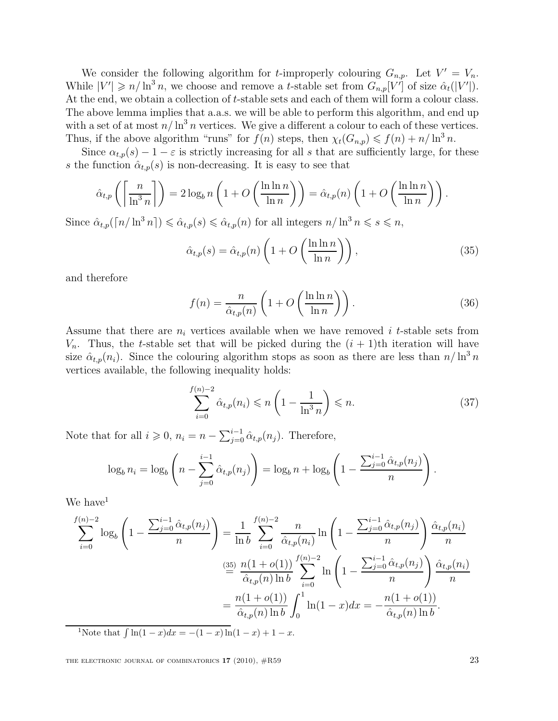We consider the following algorithm for *t*-improperly colouring  $G_{n,p}$ . Let  $V' = V_n$ . While  $|V'| \ge n/\ln^3 n$ , we choose and remove a t-stable set from  $G_{n,p}[V']$  of size  $\hat{\alpha}_t(|V'|)$ . At the end, we obtain a collection of t-stable sets and each of them will form a colour class. The above lemma implies that a.a.s. we will be able to perform this algorithm, and end up with a set of at most  $n/\ln^3 n$  vertices. We give a different a colour to each of these vertices. Thus, if the above algorithm "runs" for  $f(n)$  steps, then  $\chi_t(G_{n,p}) \leq f(n) + n/\ln^3 n$ .

Since  $\alpha_{t,p}(s) - 1 - \varepsilon$  is strictly increasing for all s that are sufficiently large, for these s the function  $\hat{\alpha}_{t,p}(s)$  is non-decreasing. It is easy to see that

$$
\hat{\alpha}_{t,p}\left(\left\lceil\frac{n}{\ln^3 n}\right\rceil\right) = 2\log_b n\left(1 + O\left(\frac{\ln \ln n}{\ln n}\right)\right) = \hat{\alpha}_{t,p}(n)\left(1 + O\left(\frac{\ln \ln n}{\ln n}\right)\right).
$$

Since  $\hat{\alpha}_{t,p}(\lceil n/\ln^3 n \rceil) \leq \hat{\alpha}_{t,p}(s) \leq \hat{\alpha}_{t,p}(n)$  for all integers  $n/\ln^3 n \leq s \leq n$ ,

$$
\hat{\alpha}_{t,p}(s) = \hat{\alpha}_{t,p}(n) \left( 1 + O\left(\frac{\ln \ln n}{\ln n}\right) \right),\tag{35}
$$

and therefore

$$
f(n) = \frac{n}{\hat{\alpha}_{t,p}(n)} \left( 1 + O\left(\frac{\ln \ln n}{\ln n}\right) \right). \tag{36}
$$

Assume that there are  $n_i$  vertices available when we have removed i t-stable sets from  $V_n$ . Thus, the t-stable set that will be picked during the  $(i + 1)$ th iteration will have size  $\hat{\alpha}_{t,p}(n_i)$ . Since the colouring algorithm stops as soon as there are less than  $n/\ln^3 n$ vertices available, the following inequality holds:

$$
\sum_{i=0}^{f(n)-2} \hat{\alpha}_{t,p}(n_i) \leqslant n \left(1 - \frac{1}{\ln^3 n}\right) \leqslant n. \tag{37}
$$

Note that for all  $i \geqslant 0$ ,  $n_i = n - \sum_{j=0}^{i-1} \hat{\alpha}_{t,p}(n_j)$ . Therefore,

$$
\log_b n_i = \log_b \left( n - \sum_{j=0}^{i-1} \hat{\alpha}_{t,p}(n_j) \right) = \log_b n + \log_b \left( 1 - \frac{\sum_{j=0}^{i-1} \hat{\alpha}_{t,p}(n_j)}{n} \right).
$$

We have  $1$ 

$$
\sum_{i=0}^{f(n)-2} \log_b \left( 1 - \frac{\sum_{j=0}^{i-1} \hat{\alpha}_{t,p}(n_j)}{n} \right) = \frac{1}{\ln b} \sum_{i=0}^{f(n)-2} \frac{n}{\hat{\alpha}_{t,p}(n_i)} \ln \left( 1 - \frac{\sum_{j=0}^{i-1} \hat{\alpha}_{t,p}(n_j)}{n} \right) \frac{\hat{\alpha}_{t,p}(n_i)}{n}
$$

$$
\stackrel{(35)}{=} \frac{n(1+o(1))}{\hat{\alpha}_{t,p}(n) \ln b} \sum_{i=0}^{f(n)-2} \ln \left( 1 - \frac{\sum_{j=0}^{i-1} \hat{\alpha}_{t,p}(n_j)}{n} \right) \frac{\hat{\alpha}_{t,p}(n_i)}{n}
$$

$$
= \frac{n(1+o(1))}{\hat{\alpha}_{t,p}(n) \ln b} \int_0^1 \ln(1-x) dx = -\frac{n(1+o(1))}{\hat{\alpha}_{t,p}(n) \ln b}.
$$
<sup>1</sup>Note that  $\int \ln(1-x) dx = -(1-x) \ln(1-x) + 1 - x$ .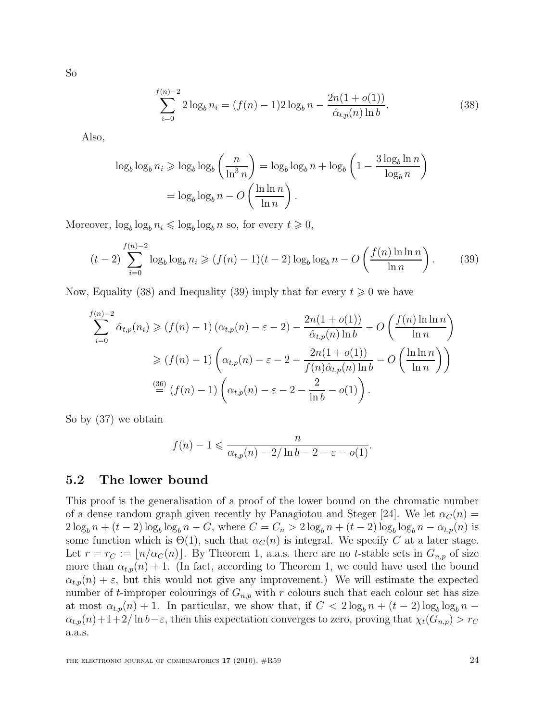So

$$
\sum_{i=0}^{f(n)-2} 2\log_b n_i = (f(n)-1)2\log_b n - \frac{2n(1+o(1))}{\hat{\alpha}_{t,p}(n)\ln b}.
$$
 (38)

Also,

$$
\log_b \log_b n_i \ge \log_b \log_b \left(\frac{n}{\ln^3 n}\right) = \log_b \log_b n + \log_b \left(1 - \frac{3 \log_b \ln n}{\log_b n}\right)
$$

$$
= \log_b \log_b n - O\left(\frac{\ln \ln n}{\ln n}\right).
$$

Moreover,  $\log_b \log_b n_i \leq \log_b \log_b n$  so, for every  $t \geq 0$ ,

$$
(t-2)\sum_{i=0}^{f(n)-2}\log_b\log_b n_i \ge (f(n)-1)(t-2)\log_b\log_b n - O\left(\frac{f(n)\ln\ln n}{\ln n}\right). \tag{39}
$$

Now, Equality (38) and Inequality (39) imply that for every  $t \geq 0$  we have

$$
\sum_{i=0}^{f(n)-2} \hat{\alpha}_{t,p}(n_i) \ge (f(n)-1) \left(\alpha_{t,p}(n) - \varepsilon - 2\right) - \frac{2n(1+o(1))}{\hat{\alpha}_{t,p}(n)\ln b} - O\left(\frac{f(n)\ln\ln n}{\ln n}\right)
$$

$$
\ge (f(n)-1) \left(\alpha_{t,p}(n) - \varepsilon - 2 - \frac{2n(1+o(1))}{f(n)\hat{\alpha}_{t,p}(n)\ln b} - O\left(\frac{\ln\ln n}{\ln n}\right)\right)
$$

$$
\stackrel{(36)}{=} (f(n)-1) \left(\alpha_{t,p}(n) - \varepsilon - 2 - \frac{2}{\ln b} - o(1)\right).
$$

So by (37) we obtain

$$
f(n) - 1 \leqslant \frac{n}{\alpha_{t,p}(n) - 2/\ln b - 2 - \varepsilon - o(1)}.
$$

## 5.2 The lower bound

This proof is the generalisation of a proof of the lower bound on the chromatic number of a dense random graph given recently by Panagiotou and Steger [24]. We let  $\alpha_C(n)$  =  $2\log_b n + (t-2)\log_b \log_b n - C$ , where  $C = C_n > 2\log_b n + (t-2)\log_b \log_b n - \alpha_{t,p}(n)$  is some function which is  $\Theta(1)$ , such that  $\alpha<sub>C</sub>(n)$  is integral. We specify C at a later stage. Let  $r = r_C := \lfloor n/\alpha_C(n) \rfloor$ . By Theorem 1, a.a.s. there are no t-stable sets in  $G_{n,p}$  of size more than  $\alpha_{t,p}(n) + 1$ . (In fact, according to Theorem 1, we could have used the bound  $\alpha_{t,p}(n) + \varepsilon$ , but this would not give any improvement.) We will estimate the expected number of t-improper colourings of  $G_{n,p}$  with r colours such that each colour set has size at most  $\alpha_{t,p}(n) + 1$ . In particular, we show that, if  $C < 2 \log_b n + (t - 2) \log_b \log_b n \alpha_{t,p}(n)+1+2/\ln b-\varepsilon$ , then this expectation converges to zero, proving that  $\chi_t(G_{n,p}) > r_C$ a.a.s.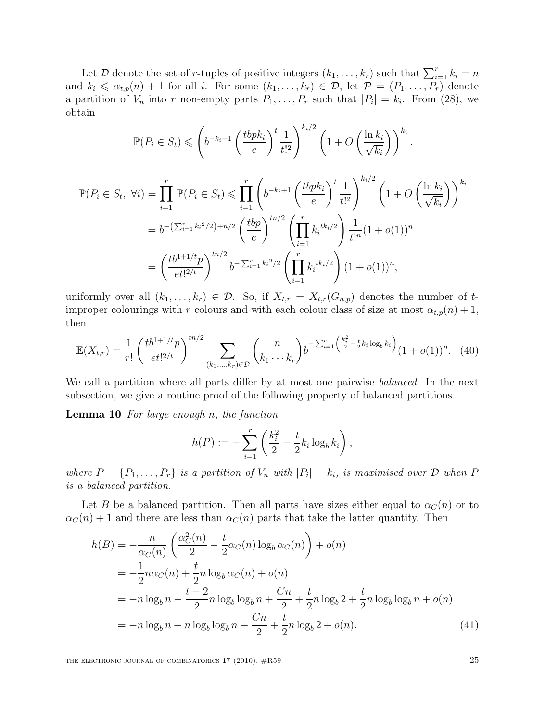Let D denote the set of r-tuples of positive integers  $(k_1, \ldots, k_r)$  such that  $\sum_{i=1}^r k_i = n$ and  $k_i \leq \alpha_{t,p}(n) + 1$  for all i. For some  $(k_1, \ldots, k_r) \in \mathcal{D}$ , let  $\mathcal{P} = (P_1, \ldots, P_r)$  denote a partition of  $V_n$  into r non-empty parts  $P_1, \ldots, P_r$  such that  $|P_i| = k_i$ . From (28), we obtain

$$
\mathbb{P}(P_i \in S_t) \leqslant \left(b^{-k_i+1} \left(\frac{tbpk_i}{e}\right)^t \frac{1}{t!^2}\right)^{k_i/2} \left(1 + O\left(\frac{\ln k_i}{\sqrt{k_i}}\right)\right)^{k_i}.
$$
\n
$$
\mathbb{P}(P_i \in S_t, \ \forall i) = \prod_{i=1}^r \mathbb{P}(P_i \in S_t) \leqslant \prod_{i=1}^r \left(b^{-k_i+1} \left(\frac{tbpk_i}{e}\right)^t \frac{1}{t!^2}\right)^{k_i/2} \left(1 + O\left(\frac{\ln k_i}{\sqrt{k_i}}\right)\right)^{k_i}
$$
\n
$$
= b^{-\left(\sum_{i=1}^r k_i^2/2\right) + n/2} \left(\frac{tbp}{e}\right)^{tn/2} \left(\prod_{i=1}^r k_i^{tk_i/2}\right) \frac{1}{t!^n} (1 + o(1))^n
$$
\n
$$
= \left(\frac{tb^{1+1/t}p}{et!^{2/t}}\right)^{tn/2} b^{-\sum_{i=1}^r k_i^2/2} \left(\prod_{i=1}^r k_i^{tk_i/2}\right) (1 + o(1))^n,
$$

uniformly over all  $(k_1, \ldots, k_r) \in \mathcal{D}$ . So, if  $X_{t,r} = X_{t,r}(G_{n,p})$  denotes the number of timproper colourings with r colours and with each colour class of size at most  $\alpha_{t,p}(n) + 1$ , then

$$
\mathbb{E}(X_{t,r}) = \frac{1}{r!} \left( \frac{tb^{1+1/t}p}{et^{12/t}} \right)^{tn/2} \sum_{(k_1,\dots,k_r)\in\mathcal{D}} \binom{n}{k_1\cdots k_r} b^{-\sum_{i=1}^r \left( \frac{k_i^2}{2} - \frac{t}{2}k_i \log_b k_i \right)} (1+o(1))^n. \tag{40}
$$

We call a partition where all parts differ by at most one pairwise *balanced*. In the next subsection, we give a routine proof of the following property of balanced partitions.

**Lemma 10** For large enough n, the function

$$
h(P) := -\sum_{i=1}^r \left(\frac{k_i^2}{2} - \frac{t}{2}k_i \log_b k_i\right),\,
$$

where  $P = \{P_1, \ldots, P_r\}$  is a partition of  $V_n$  with  $|P_i| = k_i$ , is maximised over  $D$  when  $P$ is a balanced partition.

Let B be a balanced partition. Then all parts have sizes either equal to  $\alpha<sub>C</sub>(n)$  or to  $\alpha_C(n) + 1$  and there are less than  $\alpha_C(n)$  parts that take the latter quantity. Then

$$
h(B) = -\frac{n}{\alpha_C(n)} \left( \frac{\alpha_C^2(n)}{2} - \frac{t}{2} \alpha_C(n) \log_b \alpha_C(n) \right) + o(n)
$$
  
=  $-\frac{1}{2} n \alpha_C(n) + \frac{t}{2} n \log_b \alpha_C(n) + o(n)$   
=  $-n \log_b n - \frac{t-2}{2} n \log_b \log_b n + \frac{Cn}{2} + \frac{t}{2} n \log_b 2 + \frac{t}{2} n \log_b \log_b n + o(n)$   
=  $-n \log_b n + n \log_b \log_b n + \frac{Cn}{2} + \frac{t}{2} n \log_b 2 + o(n).$  (41)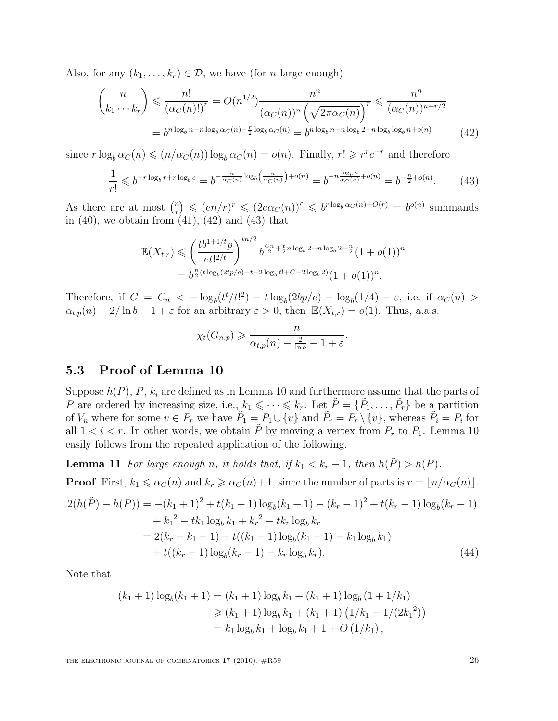Also, for any  $(k_1, \ldots, k_r) \in \mathcal{D}$ , we have (for *n* large enough)

$$
\binom{n}{k_1 \cdots k_r} \leqslant \frac{n!}{(\alpha_C(n)!)^r} = O(n^{1/2}) \frac{n^n}{(\alpha_C(n))^n \left(\sqrt{2\pi \alpha_C(n)}\right)^r} \leqslant \frac{n^n}{(\alpha_C(n))^{n+r/2}}
$$
\n
$$
= b^{n \log_b n - n \log_b \alpha_C(n) - \frac{r}{2} \log_b \alpha_C(n)} = b^{n \log_b n - n \log_b 2 - n \log_b \log_b n + o(n)} \tag{42}
$$

since  $r \log_b \alpha_C(n) \leqslant (n/\alpha_C(n)) \log_b \alpha_C(n) = o(n)$ . Finally,  $r! \geqslant r^r e^{-r}$  and therefore

$$
\frac{1}{r!} \leqslant b^{-r \log_b r + r \log_b e} = b^{-\frac{n}{\alpha_C(n)} \log_b \left(\frac{n}{\alpha_C(n)}\right) + o(n)} = b^{-n \frac{\log_b n}{\alpha_C(n)} + o(n)} = b^{-\frac{n}{2} + o(n)}.
$$
 (43)

As there are at most  $\binom{n}{r}$  $\binom{n}{r} \leqslant (en/r)^r \leqslant (2e\alpha_C(n))^r \leqslant b^{r \log_b \alpha_C(n) + O(r)} = b^{o(n)}$  summands in  $(40)$ , we obtain from  $(41)$ ,  $(42)$  and  $(43)$  that

$$
\mathbb{E}(X_{t,r}) \leq \left(\frac{tb^{1+1/t}p}{et!^{2/t}}\right)^{tn/2} b^{\frac{C_n}{2} + \frac{t}{2}n \log_b 2 - n \log_b 2 - \frac{n}{2}} (1+o(1))^n
$$
  
=  $b^{\frac{n}{2}(t \log_b(2tp/e) + t - 2 \log_b t! + C - 2 \log_b 2)} (1+o(1))^n$ .

Therefore, if  $C = C_n < -\log_b(t^t/t^2) - t \log_b(2bp/e) - \log_b(1/4) - \varepsilon$ , i.e. if  $\alpha_C(n) >$  $\alpha_{t,p}(n) - 2/\ln b - 1 + \varepsilon$  for an arbitrary  $\varepsilon > 0$ , then  $\mathbb{E}(X_{t,r}) = o(1)$ . Thus, a.a.s.

$$
\chi_t(G_{n,p}) \geqslant \frac{n}{\alpha_{t,p}(n) - \frac{2}{\ln b} - 1 + \varepsilon}.
$$

## 5.3 Proof of Lemma 10

Suppose  $h(P)$ , P,  $k_i$  are defined as in Lemma 10 and furthermore assume that the parts of P are ordered by increasing size, i.e.,  $k_1 \leqslant \cdots \leqslant k_r$ . Let  $\tilde{P} = \{\tilde{P}_1, \ldots, \tilde{P}_r\}$  be a partition of  $V_n$  where for some  $v \in P_r$  we have  $\tilde{P}_1 = P_1 \cup \{v\}$  and  $\tilde{P}_r = P_r \setminus \{v\}$ , whereas  $\tilde{P}_i = P_i$  for all  $1 < i < r$ . In other words, we obtain  $\tilde{P}$  by moving a vertex from  $P_r$  to  $P_1$ . Lemma 10 easily follows from the repeated application of the following.

**Lemma 11** For large enough n, it holds that, if  $k_1 < k_r - 1$ , then  $h(\tilde{P}) > h(P)$ . **Proof** First,  $k_1 \leq \alpha_C(n)$  and  $k_r \geq \alpha_C(n)+1$ , since the number of parts is  $r = \lfloor n/\alpha_C(n) \rfloor$ .

$$
2(h(\tilde{P}) - h(P)) = -(k_1 + 1)^2 + t(k_1 + 1)\log_b(k_1 + 1) - (k_r - 1)^2 + t(k_r - 1)\log_b(k_r - 1)
$$
  
+  $k_1^2 - tk_1 \log_b k_1 + k_r^2 - tk_r \log_b k_r$   
=  $2(k_r - k_1 - 1) + t((k_1 + 1)\log_b(k_1 + 1) - k_1 \log_b k_1)$   
+  $t((k_r - 1)\log_b(k_r - 1) - k_r \log_b k_r).$  (44)

Note that

$$
(k_1 + 1) \log_b(k_1 + 1) = (k_1 + 1) \log_b k_1 + (k_1 + 1) \log_b (1 + 1/k_1)
$$
  
\n
$$
\geq (k_1 + 1) \log_b k_1 + (k_1 + 1) (1/k_1 - 1/(2k_1^2))
$$
  
\n
$$
= k_1 \log_b k_1 + \log_b k_1 + 1 + O(1/k_1),
$$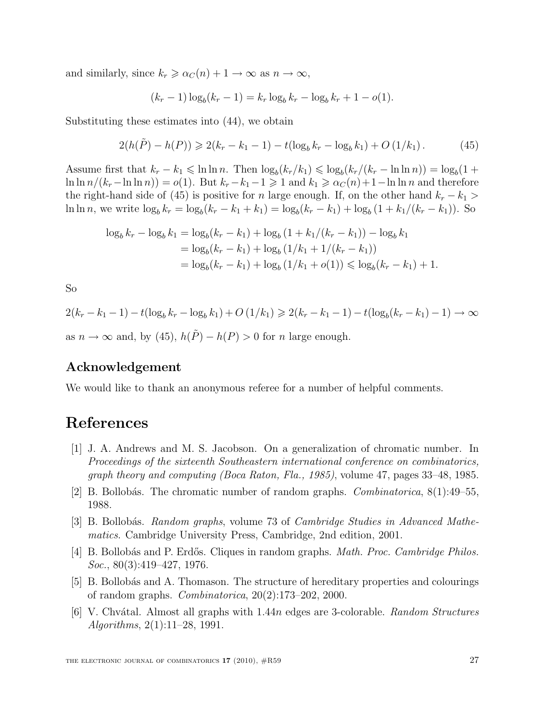and similarly, since  $k_r \geq \alpha_C(n) + 1 \to \infty$  as  $n \to \infty$ ,

$$
(k_r - 1) \log_b(k_r - 1) = k_r \log_b k_r - \log_b k_r + 1 - o(1).
$$

Substituting these estimates into (44), we obtain

$$
2(h(\tilde{P}) - h(P)) \geq 2(k_r - k_1 - 1) - t(\log_b k_r - \log_b k_1) + O\left(\frac{1}{k_1}\right). \tag{45}
$$

Assume first that  $k_r - k_1 \leqslant \ln \ln n$ . Then  $\log_b(k_r/k_1) \leqslant \log_b(k_r/(k_r - \ln \ln n)) = \log_b(1 +$  $\ln \ln n/(k_r - \ln \ln n) = o(1)$ . But  $k_r - k_1 - 1 \geq 1$  and  $k_1 \geq \alpha_C(n) + 1 - \ln \ln n$  and therefore the right-hand side of (45) is positive for n large enough. If, on the other hand  $k_r - k_1 >$ ln ln n, we write  $\log_b k_r = \log_b (k_r - k_1 + k_1) = \log_b (k_r - k_1) + \log_b (1 + k_1/(k_r - k_1))$ . So

$$
\log_b k_r - \log_b k_1 = \log_b (k_r - k_1) + \log_b (1 + k_1/(k_r - k_1)) - \log_b k_1
$$
  
= 
$$
\log_b (k_r - k_1) + \log_b (1/k_1 + 1/(k_r - k_1))
$$
  
= 
$$
\log_b (k_r - k_1) + \log_b (1/k_1 + o(1)) \le \log_b (k_r - k_1) + 1.
$$

So

$$
2(k_r - k_1 - 1) - t(\log_b k_r - \log_b k_1) + O\left(\frac{1}{k_1}\right) \ge 2(k_r - k_1 - 1) - t(\log_b(k_r - k_1) - 1) \to \infty
$$
  
as  $n \to \infty$  and, by (45),  $h(\tilde{P}) - h(P) > 0$  for n large enough.

## Acknowledgement

We would like to thank an anonymous referee for a number of helpful comments.

## References

- [1] J. A. Andrews and M. S. Jacobson. On a generalization of chromatic number. In Proceedings of the sixteenth Southeastern international conference on combinatorics, graph theory and computing (Boca Raton, Fla., 1985), volume 47, pages 33–48, 1985.
- [2] B. Bollobás. The chromatic number of random graphs. *Combinatorica*,  $8(1):49-55$ , 1988.
- [3] B. Bollobás. Random graphs, volume 73 of Cambridge Studies in Advanced Mathematics. Cambridge University Press, Cambridge, 2nd edition, 2001.
- [4] B. Bollobás and P. Erdős. Cliques in random graphs. *Math. Proc. Cambridge Philos.* Soc., 80(3):419–427, 1976.
- [5] B. Bollobás and A. Thomason. The structure of hereditary properties and colourings of random graphs. Combinatorica, 20(2):173–202, 2000.
- [6] V. Chvátal. Almost all graphs with 1.44n edges are 3-colorable. Random Structures Algorithms, 2(1):11–28, 1991.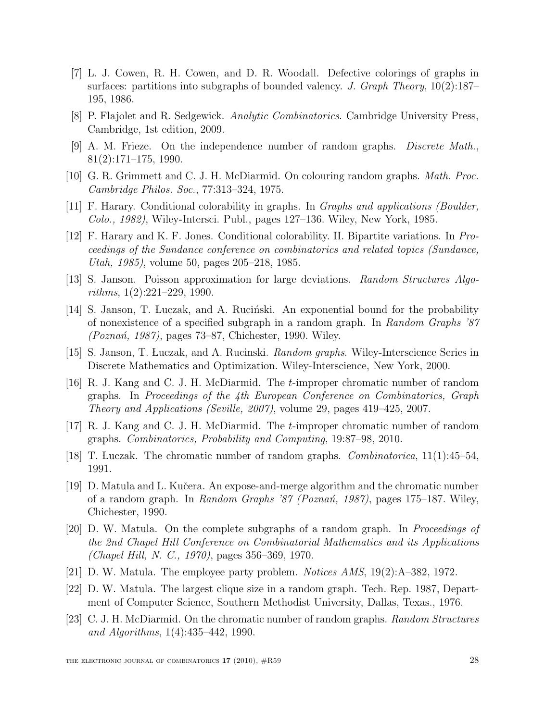- [7] L. J. Cowen, R. H. Cowen, and D. R. Woodall. Defective colorings of graphs in surfaces: partitions into subgraphs of bounded valency. J. Graph Theory,  $10(2):187-$ 195, 1986.
- [8] P. Flajolet and R. Sedgewick. Analytic Combinatorics. Cambridge University Press, Cambridge, 1st edition, 2009.
- [9] A. M. Frieze. On the independence number of random graphs. Discrete Math., 81(2):171–175, 1990.
- [10] G. R. Grimmett and C. J. H. McDiarmid. On colouring random graphs. *Math. Proc.* Cambridge Philos. Soc., 77:313–324, 1975.
- [11] F. Harary. Conditional colorability in graphs. In Graphs and applications (Boulder, Colo., 1982), Wiley-Intersci. Publ., pages 127–136. Wiley, New York, 1985.
- [12] F. Harary and K. F. Jones. Conditional colorability. II. Bipartite variations. In Proceedings of the Sundance conference on combinatorics and related topics (Sundance, Utah, 1985), volume 50, pages 205–218, 1985.
- [13] S. Janson. Poisson approximation for large deviations. Random Structures Algorithms, 1(2):221–229, 1990.
- [14] S. Janson, T. Luczak, and A. Ruciński. An exponential bound for the probability of nonexistence of a specified subgraph in a random graph. In Random Graphs '87  $(Poznań, 1987)$ , pages 73–87, Chichester, 1990. Wiley.
- [15] S. Janson, T. Luczak, and A. Rucinski. Random graphs. Wiley-Interscience Series in Discrete Mathematics and Optimization. Wiley-Interscience, New York, 2000.
- [16] R. J. Kang and C. J. H. McDiarmid. The t-improper chromatic number of random graphs. In Proceedings of the 4th European Conference on Combinatorics, Graph Theory and Applications (Seville, 2007), volume 29, pages 419–425, 2007.
- [17] R. J. Kang and C. J. H. McDiarmid. The t-improper chromatic number of random graphs. Combinatorics, Probability and Computing, 19:87–98, 2010.
- [18] T. Luczak. The chromatic number of random graphs. Combinatorica, 11(1):45–54, 1991.
- [19] D. Matula and L. Kuˇcera. An expose-and-merge algorithm and the chromatic number of a random graph. In Random Graphs '87 (Poznań, 1987), pages 175–187. Wiley, Chichester, 1990.
- [20] D. W. Matula. On the complete subgraphs of a random graph. In Proceedings of the 2nd Chapel Hill Conference on Combinatorial Mathematics and its Applications (Chapel Hill, N. C., 1970), pages 356–369, 1970.
- [21] D. W. Matula. The employee party problem. Notices AMS, 19(2):A–382, 1972.
- [22] D. W. Matula. The largest clique size in a random graph. Tech. Rep. 1987, Department of Computer Science, Southern Methodist University, Dallas, Texas., 1976.
- [23] C. J. H. McDiarmid. On the chromatic number of random graphs. Random Structures and Algorithms, 1(4):435–442, 1990.